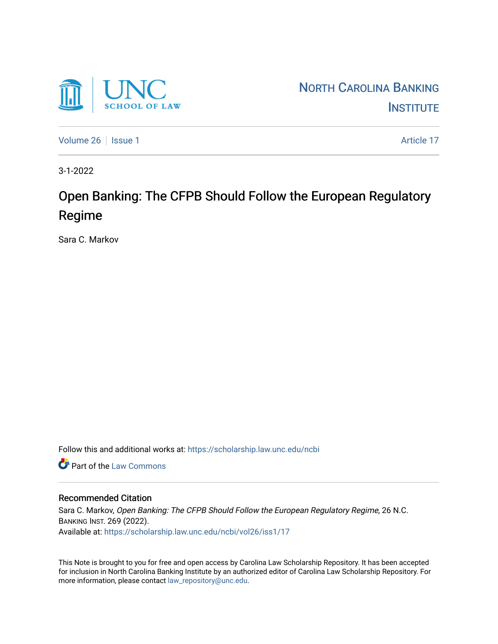

[Volume 26](https://scholarship.law.unc.edu/ncbi/vol26) | [Issue 1](https://scholarship.law.unc.edu/ncbi/vol26/iss1) Article 17

3-1-2022

# Open Banking: The CFPB Should Follow the European Regulatory Regime

Sara C. Markov

Follow this and additional works at: [https://scholarship.law.unc.edu/ncbi](https://scholarship.law.unc.edu/ncbi?utm_source=scholarship.law.unc.edu%2Fncbi%2Fvol26%2Fiss1%2F17&utm_medium=PDF&utm_campaign=PDFCoverPages)

**Part of the [Law Commons](https://network.bepress.com/hgg/discipline/578?utm_source=scholarship.law.unc.edu%2Fncbi%2Fvol26%2Fiss1%2F17&utm_medium=PDF&utm_campaign=PDFCoverPages)** 

# Recommended Citation

Sara C. Markov, Open Banking: The CFPB Should Follow the European Regulatory Regime, 26 N.C. BANKING INST. 269 (2022). Available at: [https://scholarship.law.unc.edu/ncbi/vol26/iss1/17](https://scholarship.law.unc.edu/ncbi/vol26/iss1/17?utm_source=scholarship.law.unc.edu%2Fncbi%2Fvol26%2Fiss1%2F17&utm_medium=PDF&utm_campaign=PDFCoverPages) 

This Note is brought to you for free and open access by Carolina Law Scholarship Repository. It has been accepted for inclusion in North Carolina Banking Institute by an authorized editor of Carolina Law Scholarship Repository. For more information, please contact [law\\_repository@unc.edu](mailto:law_repository@unc.edu).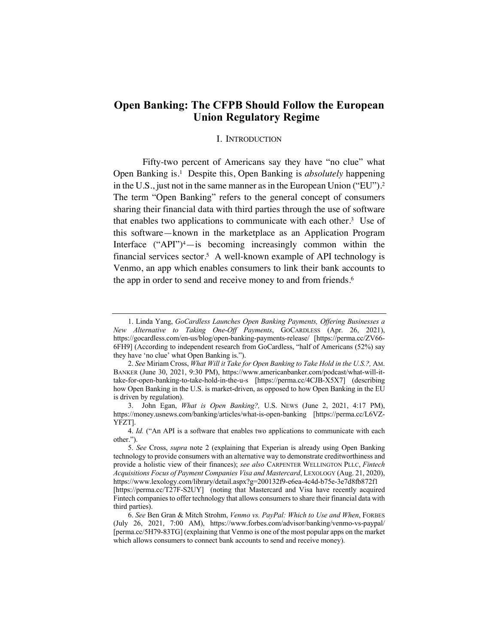# **Open Banking: The CFPB Should Follow the European Union Regulatory Regime**

### I. INTRODUCTION

Fifty-two percent of Americans say they have "no clue" what Open Banking is.1 Despite this, Open Banking is *absolutely* happening in the U.S., just not in the same manner as in the European Union ("EU"). 2 The term "Open Banking" refers to the general concept of consumers sharing their financial data with third parties through the use of software that enables two applications to communicate with each other.3 Use of this software—known in the marketplace as an Application Program Interface  $("API")^4$ —is becoming increasingly common within the financial services sector.<sup>5</sup> A well-known example of API technology is Venmo, an app which enables consumers to link their bank accounts to the app in order to send and receive money to and from friends.<sup>6</sup>

<sup>1.</sup> Linda Yang, *GoCardless Launches Open Banking Payments, Offering Businesses a New Alternative to Taking One-Off Payments*, GOCARDLESS (Apr. 26, 2021), https://gocardless.com/en-us/blog/open-banking-payments-release/ [https://perma.cc/ZV66- 6FH9] (According to independent research from GoCardless, "half of Americans (52%) say they have 'no clue' what Open Banking is.").

<sup>2.</sup> *See* Miriam Cross, *What Will it Take for Open Banking to Take Hold in the U.S.?,* AM. BANKER (June 30, 2021, 9:30 PM), https://www.americanbanker.com/podcast/what-will-ittake-for-open-banking-to-take-hold-in-the-u-s [https://perma.cc/4CJB-X5X7] (describing how Open Banking in the U.S. is market-driven, as opposed to how Open Banking in the EU is driven by regulation).

<sup>3.</sup> John Egan, *What is Open Banking?,* U.S. NEWS (June 2, 2021, 4:17 PM), https://money.usnews.com/banking/articles/what-is-open-banking [https://perma.cc/L6VZ-YFZT].

<sup>4.</sup> *Id.* ("An API is a software that enables two applications to communicate with each other.").

<sup>5.</sup> *See* Cross, *supra* note 2 (explaining that Experian is already using Open Banking technology to provide consumers with an alternative way to demonstrate creditworthiness and provide a holistic view of their finances); *see also* CARPENTER WELLINGTON PLLC, *Fintech Acquisitions Focus of Payment Companies Visa and Mastercard*, LEXOLOGY (Aug. 21, 2020), https://www.lexology.com/library/detail.aspx?g=200132f9-e6ea-4c4d-b75e-3e7d8fb872f1 [https://perma.cc/T27F-S2UY] (noting that Mastercard and Visa have recently acquired Fintech companies to offer technology that allows consumers to share their financial data with third parties).

<sup>6.</sup> *See* Ben Gran & Mitch Strohm, *Venmo vs. PayPal: Which to Use and When*, FORBES (July 26, 2021, 7:00 AM), https://www.forbes.com/advisor/banking/venmo-vs-paypal/ [perma.cc/5H79-83TG] (explaining that Venmo is one of the most popular apps on the market which allows consumers to connect bank accounts to send and receive money).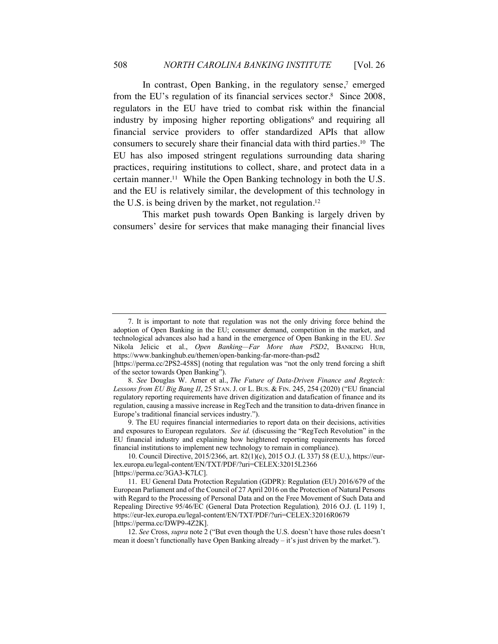In contrast, Open Banking, in the regulatory sense, <sup>7</sup> emerged from the EU's regulation of its financial services sector.8 Since 2008, regulators in the EU have tried to combat risk within the financial industry by imposing higher reporting obligations<sup>9</sup> and requiring all financial service providers to offer standardized APIs that allow consumers to securely share their financial data with third parties.10 The EU has also imposed stringent regulations surrounding data sharing practices, requiring institutions to collect, share, and protect data in a certain manner.11 While the Open Banking technology in both the U.S. and the EU is relatively similar, the development of this technology in the U.S. is being driven by the market, not regulation.<sup>12</sup>

This market push towards Open Banking is largely driven by consumers' desire for services that make managing their financial lives

<sup>7.</sup> It is important to note that regulation was not the only driving force behind the adoption of Open Banking in the EU; consumer demand, competition in the market, and technological advances also had a hand in the emergence of Open Banking in the EU. *See*  Nikola Jelicic et al., *Open Banking—Far More than PSD2*, BANKING HUB, https://www.bankinghub.eu/themen/open-banking-far-more-than-psd2

<sup>[</sup>https://perma.cc/2PS2-458S] (noting that regulation was "not the only trend forcing a shift of the sector towards Open Banking").

<sup>8.</sup> *See* Douglas W. Arner et al., *The Future of Data-Driven Finance and Regtech: Lessons from EU Big Bang II*, 25 STAN. J. OF L. BUS. & FIN. 245, 254 (2020) ("EU financial regulatory reporting requirements have driven digitization and datafication of finance and its regulation, causing a massive increase in RegTech and the transition to data-driven finance in Europe's traditional financial services industry.").

<sup>9.</sup> The EU requires financial intermediaries to report data on their decisions, activities and exposures to European regulators. *See id.* (discussing the "RegTech Revolution" in the EU financial industry and explaining how heightened reporting requirements has forced financial institutions to implement new technology to remain in compliance).

<sup>10.</sup> Council Directive, 2015/2366, art. 82(1)(c), 2015 O.J. (L 337) 58 (E.U.), https://eurlex.europa.eu/legal-content/EN/TXT/PDF/?uri=CELEX:32015L2366 [https://perma.cc/3GA3-K7LC].

<sup>11.</sup> EU General Data Protection Regulation (GDPR): Regulation (EU) 2016/679 of the European Parliament and of the Council of 27 April 2016 on the Protection of Natural Persons with Regard to the Processing of Personal Data and on the Free Movement of Such Data and Repealing Directive 95/46/EC (General Data Protection Regulation)*,* 2016 O.J. (L 119) 1, https://eur-lex.europa.eu/legal-content/EN/TXT/PDF/?uri=CELEX:32016R0679 [https://perma.cc/DWP9-4Z2K].

<sup>12.</sup> *See* Cross, *supra* note 2 ("But even though the U.S. doesn't have those rules doesn't mean it doesn't functionally have Open Banking already – it's just driven by the market.").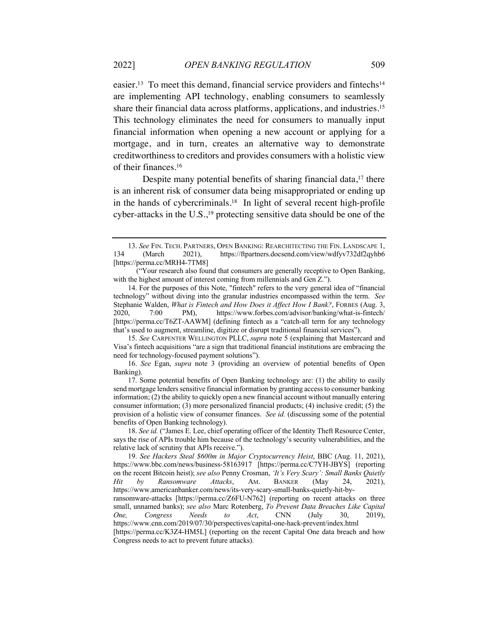easier.<sup>13</sup> To meet this demand, financial service providers and fintechs<sup>14</sup> are implementing API technology, enabling consumers to seamlessly share their financial data across platforms, applications, and industries.15 This technology eliminates the need for consumers to manually input financial information when opening a new account or applying for a mortgage, and in turn, creates an alternative way to demonstrate creditworthiness to creditors and provides consumers with a holistic view of their finances.16

Despite many potential benefits of sharing financial data,<sup>17</sup> there is an inherent risk of consumer data being misappropriated or ending up in the hands of cybercriminals.<sup>18</sup> In light of several recent high-profile cyber-attacks in the  $U.S.,<sup>19</sup>$  protecting sensitive data should be one of the

<sup>13.</sup> *See* FIN. TECH. PARTNERS, OPEN BANKING: REARCHITECTING THE FIN. LANDSCAPE 1, 134 (March 2021), https://ftpartners.docsend.com/view/wdfyv732df2qyhb6 [https://perma.cc/MRH4-7TM8]

<sup>(&</sup>quot;Your research also found that consumers are generally receptive to Open Banking, with the highest amount of interest coming from millennials and Gen Z.").

<sup>14.</sup> For the purposes of this Note, "fintech" refers to the very general idea of "financial technology" without diving into the granular industries encompassed within the term. *See*  Stephanie Walden, *What is Fintech and How Does it Affect How I Bank?*, FORBES (Aug. 3, 2020, 7:00 PM), https://www.forbes.com/advisor/banking/what-is-fintech/ [https://perma.cc/T6ZT-AAWM] (defining fintech as a "catch-all term for any technology that's used to augment, streamline, digitize or disrupt traditional financial services").

<sup>15.</sup> *See* CARPENTER WELLINGTON PLLC, *supra* note 5 (explaining that Mastercard and Visa's fintech acquisitions "are a sign that traditional financial institutions are embracing the need for technology-focused payment solutions").

<sup>16.</sup> *See* Egan, *supra* note 3 (providing an overview of potential benefits of Open Banking).

<sup>17.</sup> Some potential benefits of Open Banking technology are: (1) the ability to easily send mortgage lenders sensitive financial information by granting access to consumer banking information; (2) the ability to quickly open a new financial account without manually entering consumer information; (3) more personalized financial products; (4) inclusive credit; (5) the provision of a holistic view of consumer finances. *See id.* (discussing some of the potential benefits of Open Banking technology).

<sup>18.</sup> *See id.* ("James E. Lee, chief operating officer of the Identity Theft Resource Center, says the rise of APIs trouble him because of the technology's security vulnerabilities, and the relative lack of scrutiny that APIs receive.").

<sup>19.</sup> *See Hackers Steal \$600m in Major Cryptocurrency Heist*, BBC (Aug. 11, 2021), https://www.bbc.com/news/business-58163917 [https://perma.cc/C7YH-JBYS] (reporting on the recent Bitcoin heist); *see also* Penny Crosman, *'It's Very Scary': Small Banks Quietly Hit by Ransomware Attacks*, AM. BANKER (May 24, 2021), https://www.americanbanker.com/news/its-very-scary-small-banks-quietly-hit-byransomware-attacks [https://perma.cc/Z6FU-N762] (reporting on recent attacks on three small, unnamed banks); *see also* Marc Rotenberg, *To Prevent Data Breaches Like Capital One, Congress Needs to Act*, CNN (July 30, 2019), https://www.cnn.com/2019/07/30/perspectives/capital-one-hack-prevent/index.html [https://perma.cc/K3Z4-HM5L] (reporting on the recent Capital One data breach and how Congress needs to act to prevent future attacks).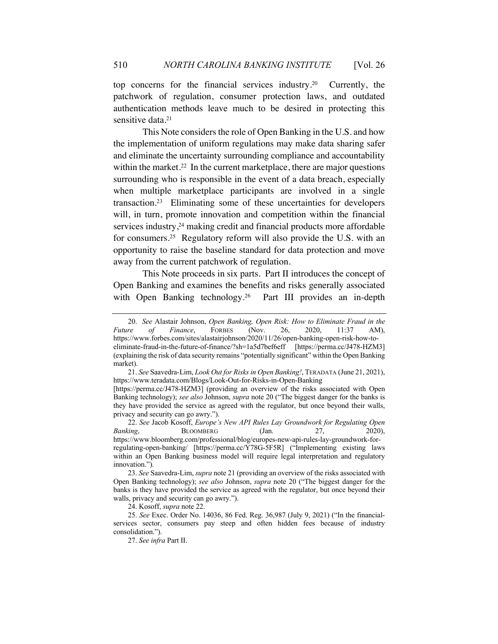top concerns for the financial services industry. Currently, the patchwork of regulation, consumer protection laws, and outdated authentication methods leave much to be desired in protecting this sensitive data.<sup>21</sup>

This Note considers the role of Open Banking in the U.S. and how the implementation of uniform regulations may make data sharing safer and eliminate the uncertainty surrounding compliance and accountability within the market.<sup>22</sup> In the current marketplace, there are major questions surrounding who is responsible in the event of a data breach, especially when multiple marketplace participants are involved in a single transaction.23 Eliminating some of these uncertainties for developers will, in turn, promote innovation and competition within the financial services industry,<sup>24</sup> making credit and financial products more affordable for consumers.25 Regulatory reform will also provide the U.S. with an opportunity to raise the baseline standard for data protection and move away from the current patchwork of regulation.

This Note proceeds in six parts. Part II introduces the concept of Open Banking and examines the benefits and risks generally associated with Open Banking technology.<sup>26</sup> Part III provides an in-depth

24. Kosoff, *supra* note 22.

<sup>20.</sup> *See* Alastair Johnson, *Open Banking, Open Risk: How to Eliminate Fraud in the Future of Finance*, FORBES (Nov. 26, 2020, 11:37 AM),

https://www.forbes.com/sites/alastairjohnson/2020/11/26/open-banking-open-risk-how-toeliminate-fraud-in-the-future-of-finance/?sh=1a5d7bef6eff [https://perma.cc/J478-HZM3] (explaining the risk of data security remains "potentially significant" within the Open Banking market).

<sup>21.</sup> *See* Saavedra-Lim, *Look Out for Risks in Open Banking!*, TERADATA (June 21, 2021), https://www.teradata.com/Blogs/Look-Out-for-Risks-in-Open-Banking

<sup>[</sup>https://perma.cc/J478-HZM3] (providing an overview of the risks associated with Open Banking technology); *see also* Johnson, *supra* note 20 ("The biggest danger for the banks is they have provided the service as agreed with the regulator, but once beyond their walls, privacy and security can go awry.").

<sup>22.</sup> *See* Jacob Kosoff, *Europe's New API Rules Lay Groundwork for Regulating Open Banking*, BLOOMBERG (Jan. 27, 2020), https://www.bloomberg.com/professional/blog/europes-new-api-rules-lay-groundwork-forregulating-open-banking/ [https://perma.cc/Y78G-5F5R] ("Implementing existing laws within an Open Banking business model will require legal interpretation and regulatory innovation.").

<sup>23.</sup> *See* Saavedra-Lim, *supra* note 21 (providing an overview of the risks associated with Open Banking technology); *see also* Johnson, *supra* note 20 ("The biggest danger for the banks is they have provided the service as agreed with the regulator, but once beyond their walls, privacy and security can go awry.").

<sup>25.</sup> *See* Exec. Order No. 14036, 86 Fed. Reg. 36,987 (July 9, 2021) ("In the financialservices sector, consumers pay steep and often hidden fees because of industry consolidation.").

<sup>27.</sup> *See infra* Part II.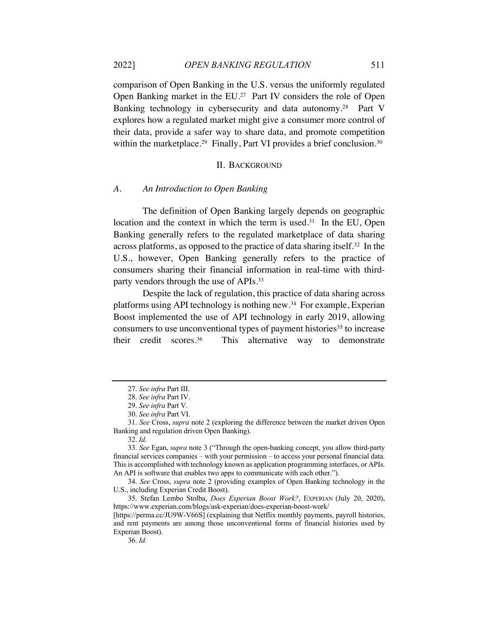comparison of Open Banking in the U.S. versus the uniformly regulated Open Banking market in the EU. 27 Part IV considers the role of Open Banking technology in cybersecurity and data autonomy.<sup>28</sup> Part V explores how a regulated market might give a consumer more control of their data, provide a safer way to share data, and promote competition within the marketplace.<sup>29</sup> Finally, Part VI provides a brief conclusion.<sup>30</sup>

### II. BACKGROUND

#### *A. An Introduction to Open Banking*

The definition of Open Banking largely depends on geographic location and the context in which the term is used. $31$  In the EU, Open Banking generally refers to the regulated marketplace of data sharing across platforms, as opposed to the practice of data sharing itself.32 In the U.S., however, Open Banking generally refers to the practice of consumers sharing their financial information in real-time with thirdparty vendors through the use of APIs.33

Despite the lack of regulation, this practice of data sharing across platforms using API technology is nothing new.34 For example, Experian Boost implemented the use of API technology in early 2019, allowing consumers to use unconventional types of payment histories<sup>35</sup> to increase their credit scores.36This alternative way to demonstrate

<sup>27.</sup> *See infra* Part III.

<sup>28.</sup> *See infra* Part IV.

<sup>29.</sup> *See infra* Part V.

<sup>30.</sup> *See infra* Part VI.

<sup>31.</sup> *See* Cross, *supra* note 2 (exploring the difference between the market driven Open Banking and regulation driven Open Banking).

<sup>32.</sup> *Id.*

<sup>33.</sup> *See* Egan, *supra* note 3 ("Through the open-banking concept, you allow third-party financial services companies – with your permission – to access your personal financial data. This is accomplished with technology known as application programming interfaces, or APIs. An API is software that enables two apps to communicate with each other.").

<sup>34.</sup> *See* Cross, *supra* note 2 (providing examples of Open Banking technology in the U.S., including Experian Credit Boost).

<sup>35.</sup> Stefan Lembo Stolba, *Does Experian Boost Work?*, EXPERIAN (July 20, 2020), https://www.experian.com/blogs/ask-experian/does-experian-boost-work/

<sup>[</sup>https://perma.cc/JU9W-V66S] (explaining that Netflix monthly payments, payroll histories, and rent payments are among those unconventional forms of financial histories used by Experian Boost).

<sup>36.</sup> *Id.*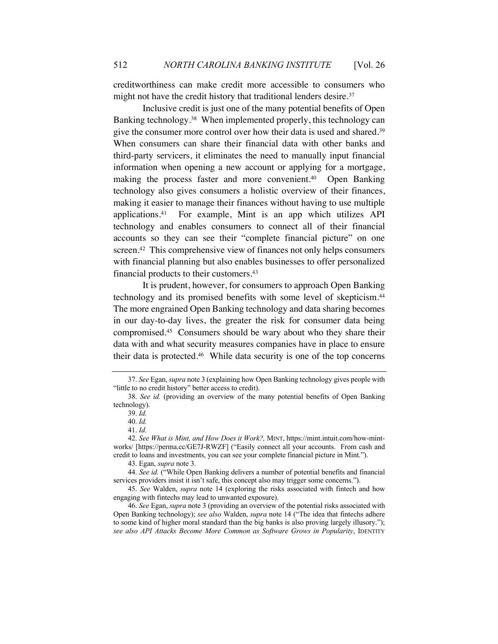creditworthiness can make credit more accessible to consumers who might not have the credit history that traditional lenders desire. 37

Inclusive credit is just one of the many potential benefits of Open Banking technology.38 When implemented properly, this technology can give the consumer more control over how their data is used and shared.39 When consumers can share their financial data with other banks and third-party servicers, it eliminates the need to manually input financial information when opening a new account or applying for a mortgage, making the process faster and more convenient.40 Open Banking technology also gives consumers a holistic overview of their finances, making it easier to manage their finances without having to use multiple applications.41 For example, Mint is an app which utilizes API technology and enables consumers to connect all of their financial accounts so they can see their "complete financial picture" on one screen.<sup>42</sup> This comprehensive view of finances not only helps consumers with financial planning but also enables businesses to offer personalized financial products to their customers.43

It is prudent, however, for consumers to approach Open Banking technology and its promised benefits with some level of skepticism.44 The more engrained Open Banking technology and data sharing becomes in our day-to-day lives, the greater the risk for consumer data being compromised.45 Consumers should be wary about who they share their data with and what security measures companies have in place to ensure their data is protected.46 While data security is one of the top concerns

<sup>37.</sup> *See* Egan, *supra* note 3 (explaining how Open Banking technology gives people with "little to no credit history" better access to credit).

<sup>38.</sup> *See id.* (providing an overview of the many potential benefits of Open Banking technology).

<sup>39.</sup> *Id.* 

<sup>40.</sup> *Id.*

<sup>41.</sup> *Id.*

<sup>42.</sup> *See What is Mint, and How Does it Work?,* MINT, https://mint.intuit.com/how-mintworks/ [https://perma.cc/GE7J-RWZF] ("Easily connect all your accounts. From cash and credit to loans and investments, you can see your complete financial picture in Mint.").

<sup>43.</sup> Egan, *supra* note 3.

<sup>44.</sup> *See id.* ("While Open Banking delivers a number of potential benefits and financial services providers insist it isn't safe, this concept also may trigger some concerns.").

<sup>45.</sup> *See* Walden, *supra* note 14 (exploring the risks associated with fintech and how engaging with fintechs may lead to unwanted exposure).

<sup>46.</sup> *See* Egan, *supra* note 3 (providing an overview of the potential risks associated with Open Banking technology); *see also* Walden, *supra* note 14 ("The idea that fintechs adhere to some kind of higher moral standard than the big banks is also proving largely illusory."); *see also API Attacks Become More Common as Software Grows in Popularity*, IDENTITY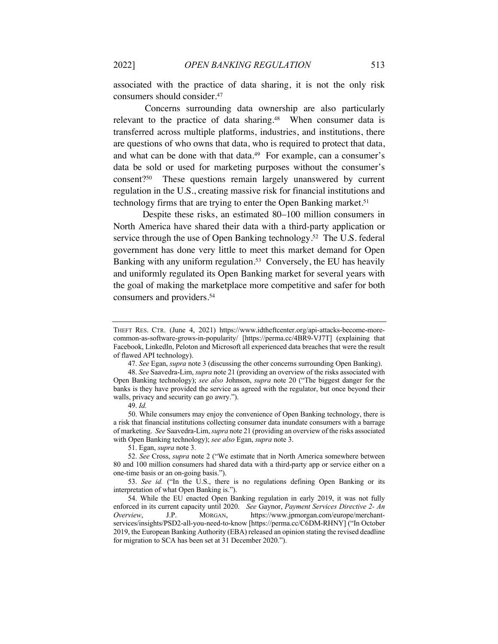associated with the practice of data sharing, it is not the only risk consumers should consider.47

Concerns surrounding data ownership are also particularly relevant to the practice of data sharing.<sup>48</sup> When consumer data is transferred across multiple platforms, industries, and institutions, there are questions of who owns that data, who is required to protect that data, and what can be done with that data.<sup>49</sup> For example, can a consumer's data be sold or used for marketing purposes without the consumer's consent?50 These questions remain largely unanswered by current regulation in the U.S., creating massive risk for financial institutions and technology firms that are trying to enter the Open Banking market.<sup>51</sup>

Despite these risks, an estimated 80–100 million consumers in North America have shared their data with a third-party application or service through the use of Open Banking technology.<sup>52</sup> The U.S. federal government has done very little to meet this market demand for Open Banking with any uniform regulation.<sup>53</sup> Conversely, the EU has heavily and uniformly regulated its Open Banking market for several years with the goal of making the marketplace more competitive and safer for both consumers and providers.54

51. Egan, *supra* note 3.

THEFT RES. CTR. (June 4, 2021) https://www.idtheftcenter.org/api-attacks-become-morecommon-as-software-grows-in-popularity/ [https://perma.cc/4BR9-VJ7T] (explaining that Facebook, LinkedIn, Peloton and Microsoft all experienced data breaches that were the result of flawed API technology).

<sup>47.</sup> *See* Egan, *supra* note 3 (discussing the other concerns surrounding Open Banking).

<sup>48.</sup> *See* Saavedra-Lim, *supra* note 21 (providing an overview of the risks associated with Open Banking technology); *see also* Johnson, *supra* note 20 ("The biggest danger for the banks is they have provided the service as agreed with the regulator, but once beyond their walls, privacy and security can go awry.").

<sup>49.</sup> *Id.*

<sup>50.</sup> While consumers may enjoy the convenience of Open Banking technology, there is a risk that financial institutions collecting consumer data inundate consumers with a barrage of marketing. *See* Saavedra-Lim, *supra* note 21 (providing an overview of the risks associated with Open Banking technology); *see also* Egan, *supra* note 3.

<sup>52.</sup> *See* Cross, *supra* note 2 ("We estimate that in North America somewhere between 80 and 100 million consumers had shared data with a third-party app or service either on a one-time basis or an on-going basis.").

<sup>53.</sup> *See id.* ("In the U.S., there is no regulations defining Open Banking or its interpretation of what Open Banking is.").

<sup>54.</sup> While the EU enacted Open Banking regulation in early 2019, it was not fully enforced in its current capacity until 2020. *See* Gaynor, *Payment Services Directive 2- An Overview*, J.P. MORGAN, https://www.jpmorgan.com/europe/merchantservices/insights/PSD2-all-you-need-to-know [https://perma.cc/C6DM-RHNY] ("In October 2019, the European Banking Authority (EBA) released an opinion stating the revised deadline for migration to SCA has been set at 31 December 2020.").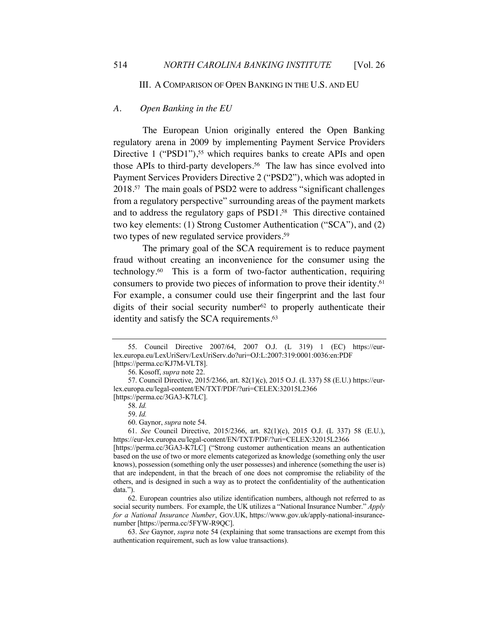III. A COMPARISON OF OPEN BANKING IN THE U.S. AND EU

# *A. Open Banking in the EU*

The European Union originally entered the Open Banking regulatory arena in 2009 by implementing Payment Service Providers Directive 1 ("PSD1"),<sup>55</sup> which requires banks to create APIs and open those APIs to third-party developers.<sup>56</sup> The law has since evolved into Payment Services Providers Directive 2 ("PSD2"), which was adopted in 2018.57 The main goals of PSD2 were to address "significant challenges from a regulatory perspective" surrounding areas of the payment markets and to address the regulatory gaps of PSD1.58 This directive contained two key elements: (1) Strong Customer Authentication ("SCA"), and (2) two types of new regulated service providers.<sup>59</sup>

The primary goal of the SCA requirement is to reduce payment fraud without creating an inconvenience for the consumer using the technology.60 This is a form of two-factor authentication, requiring consumers to provide two pieces of information to prove their identity.61 For example, a consumer could use their fingerprint and the last four digits of their social security number  $62$  to properly authenticate their identity and satisfy the SCA requirements.<sup>63</sup>

<sup>55.</sup> Council Directive 2007/64, 2007 O.J. (L 319) 1 (EC) https://eurlex.europa.eu/LexUriServ/LexUriServ.do?uri=OJ:L:2007:319:0001:0036:en:PDF [https://perma.cc/KJ7M-VLT8].

<sup>56.</sup> Kosoff, *supra* note 22.

<sup>57.</sup> Council Directive, 2015/2366, art. 82(1)(c), 2015 O.J. (L 337) 58 (E.U.) https://eurlex.europa.eu/legal-content/EN/TXT/PDF/?uri=CELEX:32015L2366 [https://perma.cc/3GA3-K7LC].

<sup>58.</sup> *Id.*

<sup>59.</sup> *Id.*

<sup>60.</sup> Gaynor, *supra* note 54.

<sup>61.</sup> *See* Council Directive, 2015/2366, art. 82(1)(c), 2015 O.J. (L 337) 58 (E.U.), https://eur-lex.europa.eu/legal-content/EN/TXT/PDF/?uri=CELEX:32015L2366

<sup>[</sup>https://perma.cc/3GA3-K7LC] ("Strong customer authentication means an authentication based on the use of two or more elements categorized as knowledge (something only the user knows), possession (something only the user possesses) and inherence (something the user is) that are independent, in that the breach of one does not compromise the reliability of the others, and is designed in such a way as to protect the confidentiality of the authentication data.").

<sup>62.</sup> European countries also utilize identification numbers, although not referred to as social security numbers. For example, the UK utilizes a "National Insurance Number." *Apply for a National Insurance Number*, GOV.UK, https://www.gov.uk/apply-national-insurancenumber [https://perma.cc/5FYW-R9QC].

<sup>63.</sup> *See* Gaynor, *supra* note 54 (explaining that some transactions are exempt from this authentication requirement, such as low value transactions).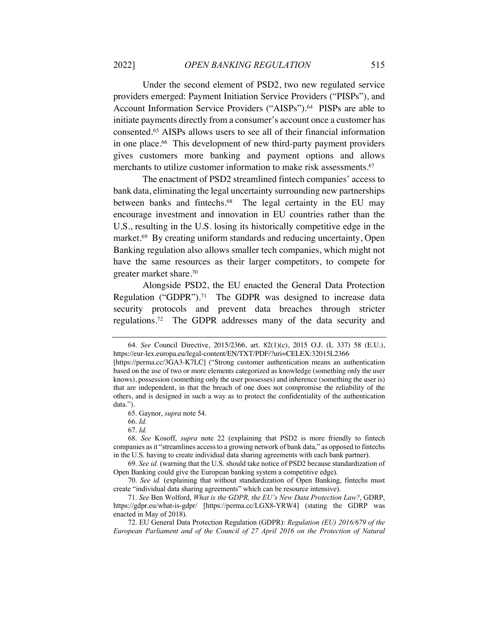Under the second element of PSD2, two new regulated service providers emerged: Payment Initiation Service Providers ("PISPs"), and Account Information Service Providers ("AISPs").<sup>64</sup> PISPs are able to initiate payments directly from a consumer's account once a customer has consented.65 AISPs allows users to see all of their financial information in one place.66 This development of new third-party payment providers gives customers more banking and payment options and allows merchants to utilize customer information to make risk assessments.<sup>67</sup>

The enactment of PSD2 streamlined fintech companies' access to bank data, eliminating the legal uncertainty surrounding new partnerships between banks and fintechs.<sup>68</sup> The legal certainty in the EU may encourage investment and innovation in EU countries rather than the U.S., resulting in the U.S. losing its historically competitive edge in the market.<sup>69</sup> By creating uniform standards and reducing uncertainty, Open Banking regulation also allows smaller tech companies, which might not have the same resources as their larger competitors, to compete for greater market share.70

Alongside PSD2, the EU enacted the General Data Protection Regulation ("GDPR").<sup>71</sup> The GDPR was designed to increase data security protocols and prevent data breaches through stricter regulations.72 The GDPR addresses many of the data security and

<sup>64.</sup> *See* Council Directive, 2015/2366, art. 82(1)(c), 2015 O.J. (L 337) 58 (E.U.), https://eur-lex.europa.eu/legal-content/EN/TXT/PDF/?uri=CELEX:32015L2366

<sup>[</sup>https://perma.cc/3GA3-K7LC] ("Strong customer authentication means an authentication based on the use of two or more elements categorized as knowledge (something only the user knows), possession (something only the user possesses) and inherence (something the user is) that are independent, in that the breach of one does not compromise the reliability of the others, and is designed in such a way as to protect the confidentiality of the authentication data.").

<sup>65.</sup> Gaynor, *supra* note 54.

<sup>66.</sup> *Id.*

<sup>67.</sup> *Id.*

<sup>68.</sup> *See* Kosoff, *supra* note 22 (explaining that PSD2 is more friendly to fintech companies as it "streamlines access to a growing network of bank data," as opposed to fintechs in the U.S. having to create individual data sharing agreements with each bank partner).

<sup>69.</sup> *See id.* (warning that the U.S. should take notice of PSD2 because standardization of Open Banking could give the European banking system a competitive edge).

<sup>70.</sup> *See id.* (explaining that without standardization of Open Banking, fintechs must create "individual data sharing agreements" which can be resource intensive).

<sup>71.</sup> *See* Ben Wolford, *What is the GDPR, the EU's New Data Protection Law?*, GDRP, https://gdpr.eu/what-is-gdpr/ [https://perma.cc/LGX8-YRW4] (stating the GDRP was enacted in May of 2018).

<sup>72.</sup> EU General Data Protection Regulation (GDPR): *Regulation (EU) 2016/679 of the European Parliament and of the Council of 27 April 2016 on the Protection of Natural*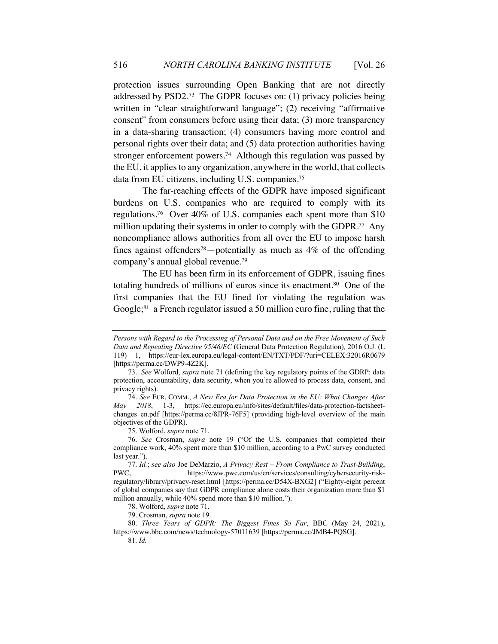protection issues surrounding Open Banking that are not directly addressed by PSD2. 73 The GDPR focuses on: (1) privacy policies being written in "clear straightforward language"; (2) receiving "affirmative consent" from consumers before using their data; (3) more transparency in a data-sharing transaction; (4) consumers having more control and personal rights over their data; and (5) data protection authorities having stronger enforcement powers.74 Although this regulation was passed by the EU, it applies to any organization, anywhere in the world, that collects data from EU citizens, including U.S. companies.75

The far-reaching effects of the GDPR have imposed significant burdens on U.S. companies who are required to comply with its regulations.76 Over 40% of U.S. companies each spent more than \$10 million updating their systems in order to comply with the GDPR.<sup>77</sup> Any noncompliance allows authorities from all over the EU to impose harsh fines against offenders<sup>78</sup>—potentially as much as  $4\%$  of the offending company's annual global revenue.79

The EU has been firm in its enforcement of GDPR, issuing fines totaling hundreds of millions of euros since its enactment.80 One of the first companies that the EU fined for violating the regulation was Google; 81 a French regulator issued a 50 million euro fine, ruling that the

*Persons with Regard to the Processing of Personal Data and on the Free Movement of Such Data and Repealing Directive 95/46/EC* (General Data Protection Regulation)*,* 2016 O.J. (L 119) 1, https://eur-lex.europa.eu/legal-content/EN/TXT/PDF/?uri=CELEX:32016R0679 [https://perma.cc/DWP9-4Z2K].

<sup>73.</sup> *See* Wolford, *supra* note 71 (defining the key regulatory points of the GDRP: data protection, accountability, data security, when you're allowed to process data, consent, and privacy rights).

<sup>74.</sup> *See* EUR. COMM., *A New Era for Data Protection in the EU: What Changes After May 2018*, 1-3, https://ec.europa.eu/info/sites/default/files/data-protection-factsheetchanges en.pdf [https://perma.cc/8JPR-76F5] (providing high-level overview of the main objectives of the GDPR).

<sup>75.</sup> Wolford, *supra* note 71.

<sup>76.</sup> *See* Crosman, *supra* note 19 ("Of the U.S. companies that completed their compliance work, 40% spent more than \$10 million, according to a PwC survey conducted last year.").

<sup>77.</sup> *Id.*; *see also* Joe DeMarzio, *A Privacy Rest – From Compliance to Trust-Building*, https://www.pwc.com/us/en/services/consulting/cybersecurity-riskregulatory/library/privacy-reset.html [https://perma.cc/D54X-BXG2] ("Eighty-eight percent of global companies say that GDPR compliance alone costs their organization more than \$1 million annually, while 40% spend more than \$10 million.").

<sup>78.</sup> Wolford, *supra* note 71.

<sup>79.</sup> Crosman, *supra* note 19.

<sup>80.</sup> *Three Years of GDPR: The Biggest Fines So Far*, BBC (May 24, 2021), https://www.bbc.com/news/technology-57011639 [https://perma.cc/JMB4-PQSG]. 81. *Id.*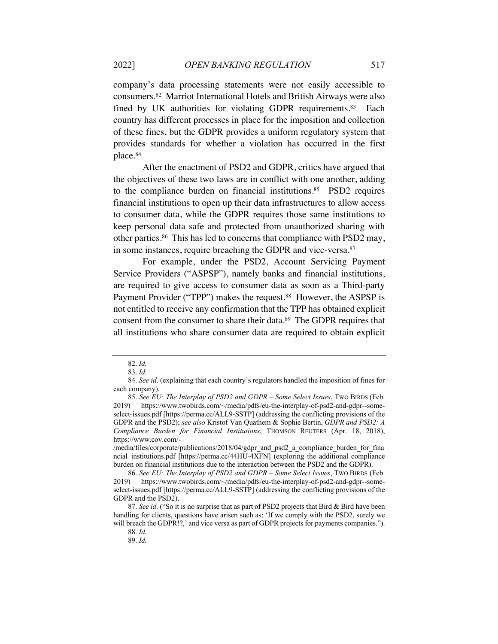company's data processing statements were not easily accessible to consumers.82 Marriot International Hotels and British Airways were also fined by UK authorities for violating GDPR requirements.<sup>83</sup> Each country has different processes in place for the imposition and collection of these fines, but the GDPR provides a uniform regulatory system that provides standards for whether a violation has occurred in the first place.84

After the enactment of PSD2 and GDPR, critics have argued that the objectives of these two laws are in conflict with one another, adding to the compliance burden on financial institutions.<sup>85</sup> PSD2 requires financial institutions to open up their data infrastructures to allow access to consumer data, while the GDPR requires those same institutions to keep personal data safe and protected from unauthorized sharing with other parties.86 This has led to concerns that compliance with PSD2 may, in some instances, require breaching the GDPR and vice-versa.<sup>87</sup>

For example, under the PSD2, Account Servicing Payment Service Providers ("ASPSP"), namely banks and financial institutions, are required to give access to consumer data as soon as a Third-party Payment Provider ("TPP") makes the request.<sup>88</sup> However, the ASPSP is not entitled to receive any confirmation that the TPP has obtained explicit consent from the consumer to share their data.89 The GDPR requires that all institutions who share consumer data are required to obtain explicit

<sup>82.</sup> *Id.*

<sup>83.</sup> *Id.*

<sup>84.</sup> *See id*. (explaining that each country's regulators handled the imposition of fines for each company).

<sup>85.</sup> *See EU: The Interplay of PSD2 and GDPR – Some Select Issues*, TWO BIRDS (Feb. 2019) https://www.twobirds.com/~/media/pdfs/eu-the-interplay-of-psd2-and-gdpr--someselect-issues.pdf [https://perma.cc/ALL9-SSTP] (addressing the conflicting provisions of the GDPR and the PSD2); *see also* Kristof Van Quathem & Sophie Bertin, *GDPR and PSD2: A Compliance Burden for Financial Institutions*, THOMSON REUTERS (Apr. 18, 2018), https://www.cov.com/-

<sup>/</sup>media/files/corporate/publications/2018/04/gdpr\_and\_psd2\_a\_compliance\_burden\_for\_fina ncial\_institutions.pdf [https://perma.cc/44HU-4XFN] (exploring the additional compliance burden on financial institutions due to the interaction between the PSD2 and the GDPR).

<sup>86.</sup> *See EU: The Interplay of PSD2 and GDPR – Some Select Issues*, TWO BIRDS (Feb. 2019) https://www.twobirds.com/~/media/pdfs/eu-the-interplay-of-psd2-and-gdpr--someselect-issues.pdf [https://perma.cc/ALL9-SSTP] (addressing the conflicting provisions of the GDPR and the PSD2).

<sup>87.</sup> *See id*. ("So it is no surprise that as part of PSD2 projects that Bird & Bird have been handling for clients, questions have arisen such as: 'If we comply with the PSD2, surely we will breach the GDPR!?,' and vice versa as part of GDPR projects for payments companies.").

<sup>88.</sup> *Id.*

<sup>89.</sup> *Id.*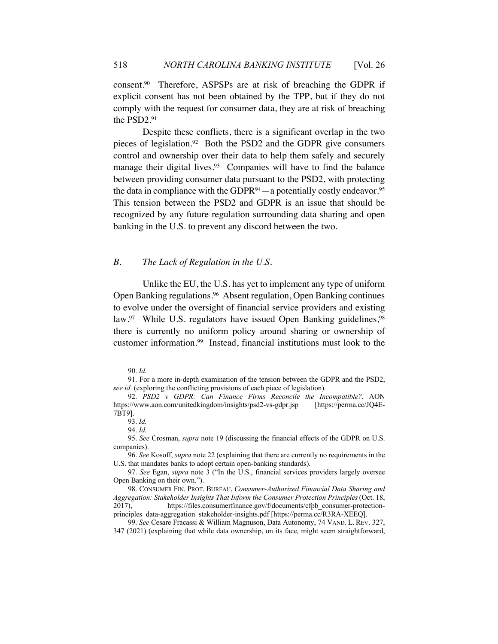consent.90 Therefore, ASPSPs are at risk of breaching the GDPR if explicit consent has not been obtained by the TPP, but if they do not comply with the request for consumer data, they are at risk of breaching the PSD2.91

Despite these conflicts, there is a significant overlap in the two pieces of legislation.92 Both the PSD2 and the GDPR give consumers control and ownership over their data to help them safely and securely manage their digital lives.<sup>93</sup> Companies will have to find the balance between providing consumer data pursuant to the PSD2, with protecting the data in compliance with the GDPR $94$ —a potentially costly endeavor.<sup>95</sup> This tension between the PSD2 and GDPR is an issue that should be recognized by any future regulation surrounding data sharing and open banking in the U.S. to prevent any discord between the two.

#### *B. The Lack of Regulation in the U.S.*

Unlike the EU, the U.S. has yet to implement any type of uniform Open Banking regulations.96 Absent regulation, Open Banking continues to evolve under the oversight of financial service providers and existing law.<sup>97</sup> While U.S. regulators have issued Open Banking guidelines,<sup>98</sup> there is currently no uniform policy around sharing or ownership of customer information.99 Instead, financial institutions must look to the

<sup>90.</sup> *Id.*

<sup>91.</sup> For a more in-depth examination of the tension between the GDPR and the PSD2, *see id*. (exploring the conflicting provisions of each piece of legislation).

<sup>92.</sup> *PSD2 v GDPR: Can Finance Firms Reconcile the Incompatible?*, AON https://www.aon.com/unitedkingdom/insights/psd2-vs-gdpr.jsp [https://perma.cc/JQ4E-7BT9].

<sup>93.</sup> *Id.*

<sup>94.</sup> *Id.*

<sup>95.</sup> *See* Crosman, *supra* note 19 (discussing the financial effects of the GDPR on U.S. companies).

<sup>96.</sup> *See* Kosoff, *supra* note 22 (explaining that there are currently no requirements in the U.S. that mandates banks to adopt certain open-banking standards).

<sup>97.</sup> *See* Egan, *supra* note 3 ("In the U.S., financial services providers largely oversee Open Banking on their own.").

<sup>98.</sup> CONSUMER FIN. PROT. BUREAU, *Consumer-Authorized Financial Data Sharing and Aggregation: Stakeholder Insights That Inform the Consumer Protection Principles*(Oct. 18, 2017), https://files.consumerfinance.gov/f/documents/cfpb\_consumer-protectionprinciples\_data-aggregation\_stakeholder-insights.pdf [https://perma.cc/R3RA-XEEQ].

<sup>99.</sup> *See* Cesare Fracassi & William Magnuson, Data Autonomy, 74 VAND. L. REV. 327, 347 (2021) (explaining that while data ownership, on its face, might seem straightforward,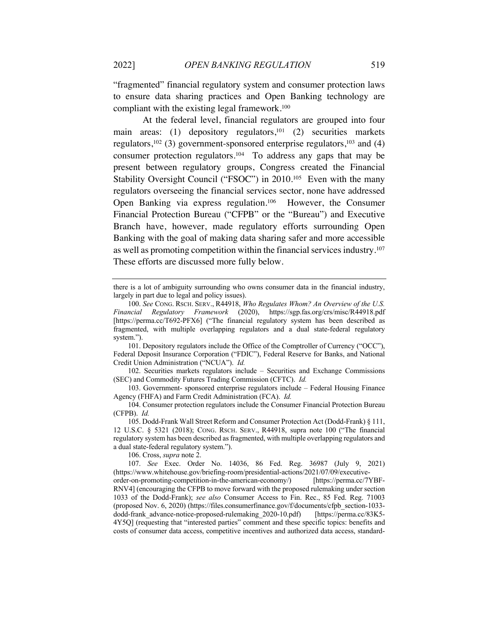"fragmented" financial regulatory system and consumer protection laws to ensure data sharing practices and Open Banking technology are compliant with the existing legal framework.100

At the federal level, financial regulators are grouped into four main areas: (1) depository regulators,<sup>101</sup> (2) securities markets regulators,<sup>102</sup> (3) government-sponsored enterprise regulators,<sup>103</sup> and (4) consumer protection regulators.104 To address any gaps that may be present between regulatory groups, Congress created the Financial Stability Oversight Council ("FSOC") in 2010.<sup>105</sup> Even with the many regulators overseeing the financial services sector, none have addressed Open Banking via express regulation.106 However, the Consumer Financial Protection Bureau ("CFPB" or the "Bureau") and Executive Branch have, however, made regulatory efforts surrounding Open Banking with the goal of making data sharing safer and more accessible as well as promoting competition within the financial services industry. 107 These efforts are discussed more fully below.

101. Depository regulators include the Office of the Comptroller of Currency ("OCC"), Federal Deposit Insurance Corporation ("FDIC"), Federal Reserve for Banks, and National Credit Union Administration ("NCUA"). *Id.*

102. Securities markets regulators include – Securities and Exchange Commissions (SEC) and Commodity Futures Trading Commission (CFTC). *Id.* 

103. Government- sponsored enterprise regulators include – Federal Housing Finance Agency (FHFA) and Farm Credit Administration (FCA). *Id.*

104. Consumer protection regulators include the Consumer Financial Protection Bureau (CFPB). *Id.* 

105. Dodd-Frank Wall Street Reform and Consumer Protection Act (Dodd-Frank) § 111, 12 U.S.C. § 5321 (2018); CONG. RSCH. SERV., R44918, supra note 100 ("The financial regulatory system has been described as fragmented, with multiple overlapping regulators and a dual state-federal regulatory system.").

106. Cross, *supra* note 2.

107. *See* Exec. Order No. 14036, 86 Fed. Reg. 36987 (July 9, 2021) (https://www.whitehouse.gov/briefing-room/presidential-actions/2021/07/09/executive-

order-on-promoting-competition-in-the-american-economy/) [https://perma.cc/7YBF-RNV4] (encouraging the CFPB to move forward with the proposed rulemaking under section 1033 of the Dodd-Frank); *see also* Consumer Access to Fin. Rec., 85 Fed. Reg. 71003 (proposed Nov. 6, 2020) (https://files.consumerfinance.gov/f/documents/cfpb\_section-1033 dodd-frank\_advance-notice-proposed-rulemaking\_2020-10.pdf) [https://perma.cc/83K5- 4Y5Q] (requesting that "interested parties" comment and these specific topics: benefits and costs of consumer data access, competitive incentives and authorized data access, standard-

there is a lot of ambiguity surrounding who owns consumer data in the financial industry, largely in part due to legal and policy issues).

<sup>100.</sup> *See* CONG. RSCH. SERV., R44918, *Who Regulates Whom? An Overview of the U.S. Financial Regulatory Framework* (2020), https://sgp.fas.org/crs/misc/R44918.pdf [https://perma.cc/T692-PFX6] ("The financial regulatory system has been described as fragmented, with multiple overlapping regulators and a dual state-federal regulatory system.").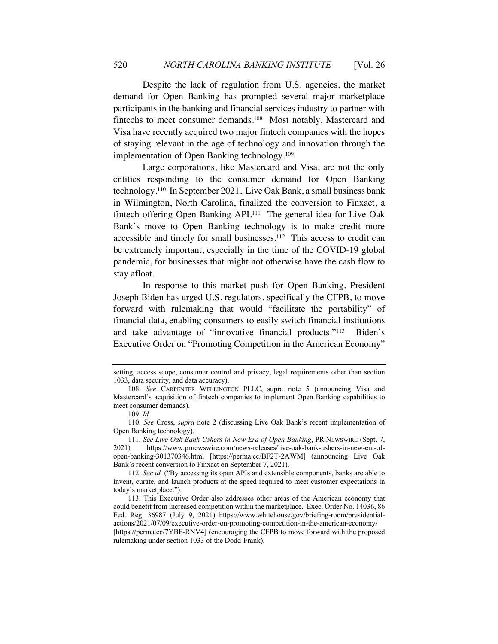Despite the lack of regulation from U.S. agencies, the market demand for Open Banking has prompted several major marketplace participants in the banking and financial services industry to partner with fintechs to meet consumer demands.108 Most notably, Mastercard and Visa have recently acquired two major fintech companies with the hopes of staying relevant in the age of technology and innovation through the implementation of Open Banking technology.109

Large corporations, like Mastercard and Visa, are not the only entities responding to the consumer demand for Open Banking technology.110 In September 2021, Live Oak Bank, a small business bank in Wilmington, North Carolina, finalized the conversion to Finxact, a fintech offering Open Banking API.<sup>111</sup> The general idea for Live Oak Bank's move to Open Banking technology is to make credit more accessible and timely for small businesses.112 This access to credit can be extremely important, especially in the time of the COVID-19 global pandemic, for businesses that might not otherwise have the cash flow to stay afloat.

In response to this market push for Open Banking, President Joseph Biden has urged U.S. regulators, specifically the CFPB, to move forward with rulemaking that would "facilitate the portability" of financial data, enabling consumers to easily switch financial institutions and take advantage of "innovative financial products."113 Biden's Executive Order on "Promoting Competition in the American Economy"

setting, access scope, consumer control and privacy, legal requirements other than section 1033, data security, and data accuracy).

<sup>108.</sup> *See* CARPENTER WELLINGTON PLLC, supra note 5 (announcing Visa and Mastercard's acquisition of fintech companies to implement Open Banking capabilities to meet consumer demands).

<sup>109.</sup> *Id.*

<sup>110.</sup> *See* Cross, *supra* note 2 (discussing Live Oak Bank's recent implementation of Open Banking technology).

<sup>111.</sup> *See Live Oak Bank Ushers in New Era of Open Banking*, PR NEWSWIRE (Sept. 7, 2021) https://www.prnewswire.com/news-releases/live-oak-bank-ushers-in-new-era-ofopen-banking-301370346.html [https://perma.cc/BF2T-2AWM] (announcing Live Oak Bank's recent conversion to Finxact on September 7, 2021).

<sup>112.</sup> *See id.* ("By accessing its open APIs and extensible components, banks are able to invent, curate, and launch products at the speed required to meet customer expectations in today's marketplace.").

<sup>113.</sup> This Executive Order also addresses other areas of the American economy that could benefit from increased competition within the marketplace. Exec. Order No. 14036, 86 Fed. Reg. 36987 (July 9, 2021) https://www.whitehouse.gov/briefing-room/presidentialactions/2021/07/09/executive-order-on-promoting-competition-in-the-american-economy/ [https://perma.cc/7YBF-RNV4] (encouraging the CFPB to move forward with the proposed rulemaking under section 1033 of the Dodd-Frank).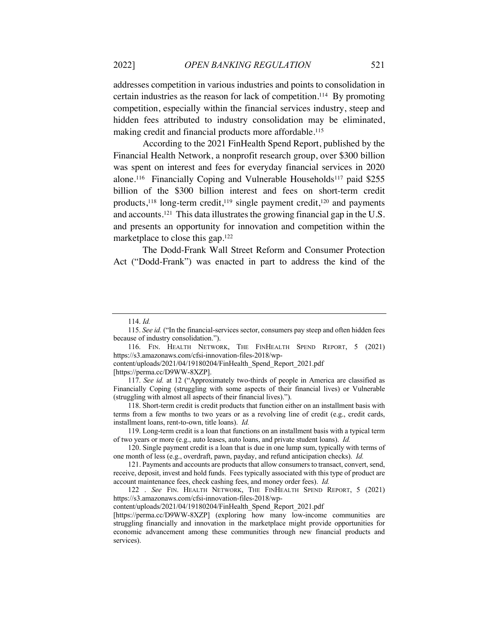addresses competition in various industries and points to consolidation in certain industries as the reason for lack of competition. 114 By promoting competition, especially within the financial services industry, steep and hidden fees attributed to industry consolidation may be eliminated, making credit and financial products more affordable.<sup>115</sup>

According to the 2021 FinHealth Spend Report, published by the Financial Health Network, a nonprofit research group, over \$300 billion was spent on interest and fees for everyday financial services in 2020 alone.<sup>116</sup> Financially Coping and Vulnerable Households<sup>117</sup> paid \$255 billion of the \$300 billion interest and fees on short-term credit products,<sup>118</sup> long-term credit,<sup>119</sup> single payment credit,<sup>120</sup> and payments and accounts.121 This data illustrates the growing financial gap in the U.S. and presents an opportunity for innovation and competition within the marketplace to close this gap.122

The Dodd-Frank Wall Street Reform and Consumer Protection Act ("Dodd-Frank") was enacted in part to address the kind of the

<sup>114.</sup> *Id.* 

<sup>115.</sup> *See id.* ("In the financial-services sector, consumers pay steep and often hidden fees because of industry consolidation.").

<sup>116.</sup> FIN. HEALTH NETWORK, THE FINHEALTH SPEND REPORT, 5 (2021) https://s3.amazonaws.com/cfsi-innovation-files-2018/wp-

content/uploads/2021/04/19180204/FinHealth\_Spend\_Report\_2021.pdf

<sup>[</sup>https://perma.cc/D9WW-8XZP].

<sup>117.</sup> *See id.* at 12 ("Approximately two-thirds of people in America are classified as Financially Coping (struggling with some aspects of their financial lives) or Vulnerable (struggling with almost all aspects of their financial lives).").

<sup>118.</sup> Short-term credit is credit products that function either on an installment basis with terms from a few months to two years or as a revolving line of credit (e.g., credit cards, installment loans, rent-to-own, title loans). *Id.* 

<sup>119.</sup> Long-term credit is a loan that functions on an installment basis with a typical term of two years or more (e.g., auto leases, auto loans, and private student loans). *Id.* 

<sup>120.</sup> Single payment credit is a loan that is due in one lump sum, typically with terms of one month of less (e.g., overdraft, pawn, payday, and refund anticipation checks). *Id.* 

<sup>121.</sup> Payments and accounts are products that allow consumers to transact, convert, send, receive, deposit, invest and hold funds. Fees typically associated with this type of product are account maintenance fees, check cashing fees, and money order fees). *Id.*

<sup>122</sup> . *See* FIN. HEALTH NETWORK, THE FINHEALTH SPEND REPORT, 5 (2021) https://s3.amazonaws.com/cfsi-innovation-files-2018/wp-

content/uploads/2021/04/19180204/FinHealth\_Spend\_Report\_2021.pdf

<sup>[</sup>https://perma.cc/D9WW-8XZP] (exploring how many low-income communities are struggling financially and innovation in the marketplace might provide opportunities for economic advancement among these communities through new financial products and services).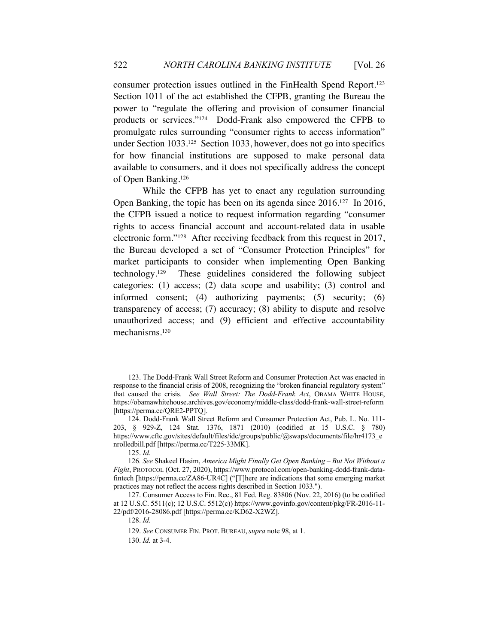consumer protection issues outlined in the FinHealth Spend Report.123 Section 1011 of the act established the CFPB, granting the Bureau the power to "regulate the offering and provision of consumer financial products or services."124 Dodd-Frank also empowered the CFPB to promulgate rules surrounding "consumer rights to access information" under Section 1033.125 Section 1033, however, does not go into specifics for how financial institutions are supposed to make personal data available to consumers, and it does not specifically address the concept of Open Banking.126

While the CFPB has yet to enact any regulation surrounding Open Banking, the topic has been on its agenda since 2016.<sup>127</sup> In 2016, the CFPB issued a notice to request information regarding "consumer rights to access financial account and account-related data in usable electronic form."128 After receiving feedback from this request in 2017, the Bureau developed a set of "Consumer Protection Principles" for market participants to consider when implementing Open Banking technology.129 These guidelines considered the following subject categories: (1) access; (2) data scope and usability; (3) control and informed consent; (4) authorizing payments; (5) security; (6) transparency of access; (7) accuracy; (8) ability to dispute and resolve unauthorized access; and (9) efficient and effective accountability mechanisms.130

<sup>123.</sup> The Dodd-Frank Wall Street Reform and Consumer Protection Act was enacted in response to the financial crisis of 2008, recognizing the "broken financial regulatory system" that caused the crisis. *See Wall Street: The Dodd-Frank Act*, OBAMA WHITE HOUSE, https://obamawhitehouse.archives.gov/economy/middle-class/dodd-frank-wall-street-reform [https://perma.cc/QRE2-PPTQ].

<sup>124.</sup> Dodd-Frank Wall Street Reform and Consumer Protection Act, Pub. L. No. 111- 203, § 929-Z, 124 Stat. 1376, 1871 (2010) (codified at 15 U.S.C. § 780) https://www.cftc.gov/sites/default/files/idc/groups/public/@swaps/documents/file/hr4173\_e nrolledbill.pdf [https://perma.cc/T225-33MK].

<sup>125.</sup> *Id.*

<sup>126</sup>*. See* Shakeel Hasim, *America Might Finally Get Open Banking – But Not Without a Fight*, PROTOCOL (Oct. 27, 2020), https://www.protocol.com/open-banking-dodd-frank-datafintech [https://perma.cc/ZA86-UR4C] ("[T]here are indications that some emerging market practices may not reflect the access rights described in Section 1033.").

<sup>127.</sup> Consumer Access to Fin. Rec., 81 Fed. Reg. 83806 (Nov. 22, 2016) (to be codified at 12 U.S.C. 5511(c); 12 U.S.C. 5512(c)) https://www.govinfo.gov/content/pkg/FR-2016-11- 22/pdf/2016-28086.pdf [https://perma.cc/KD62-X2WZ].

<sup>128.</sup> *Id.*

<sup>129.</sup> *See* CONSUMER FIN. PROT. BUREAU,*supra* note 98, at 1.

<sup>130.</sup> *Id.* at 3-4.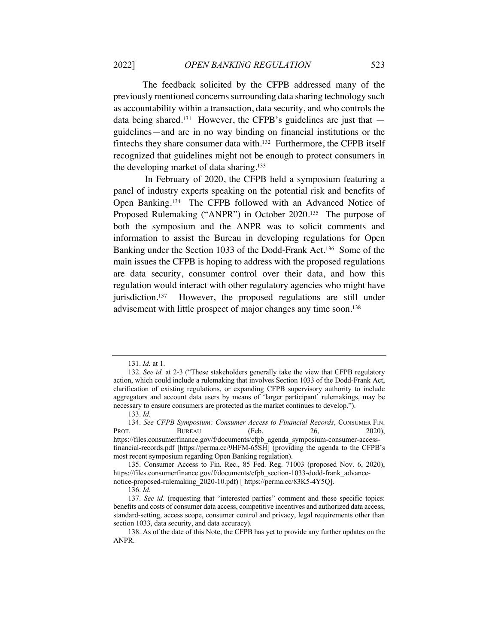The feedback solicited by the CFPB addressed many of the previously mentioned concerns surrounding data sharing technology such as accountability within a transaction, data security, and who controls the data being shared.<sup>131</sup> However, the CFPB's guidelines are just that  $$ guidelines—and are in no way binding on financial institutions or the fintechs they share consumer data with.132 Furthermore, the CFPB itself recognized that guidelines might not be enough to protect consumers in the developing market of data sharing.133

In February of 2020, the CFPB held a symposium featuring a panel of industry experts speaking on the potential risk and benefits of Open Banking.134 The CFPB followed with an Advanced Notice of Proposed Rulemaking ("ANPR") in October 2020.135 The purpose of both the symposium and the ANPR was to solicit comments and information to assist the Bureau in developing regulations for Open Banking under the Section 1033 of the Dodd-Frank Act.136 Some of the main issues the CFPB is hoping to address with the proposed regulations are data security, consumer control over their data, and how this regulation would interact with other regulatory agencies who might have jurisdiction.137 However, the proposed regulations are still under advisement with little prospect of major changes any time soon.138

<sup>131.</sup> *Id.* at 1.

<sup>132.</sup> *See id.* at 2-3 ("These stakeholders generally take the view that CFPB regulatory action, which could include a rulemaking that involves Section 1033 of the Dodd-Frank Act, clarification of existing regulations, or expanding CFPB supervisory authority to include aggregators and account data users by means of 'larger participant' rulemakings, may be necessary to ensure consumers are protected as the market continues to develop.").

<sup>133.</sup> *Id.* 

<sup>134.</sup> *See CFPB Symposium: Consumer Access to Financial Records*, CONSUMER FIN. PROT. BUREAU (Feb. 26, 2020), https://files.consumerfinance.gov/f/documents/cfpb\_agenda\_symposium-consumer-accessfinancial-records.pdf [https://perma.cc/9HFM-65SH] (providing the agenda to the CFPB's most recent symposium regarding Open Banking regulation).

<sup>135.</sup> Consumer Access to Fin. Rec., 85 Fed. Reg. 71003 (proposed Nov. 6, 2020), https://files.consumerfinance.gov/f/documents/cfpb\_section-1033-dodd-frank\_advancenotice-proposed-rulemaking\_2020-10.pdf) [ https://perma.cc/83K5-4Y5Q].

<sup>136.</sup> *Id.* 

<sup>137.</sup> *See id.* (requesting that "interested parties" comment and these specific topics: benefits and costs of consumer data access, competitive incentives and authorized data access, standard-setting, access scope, consumer control and privacy, legal requirements other than section 1033, data security, and data accuracy).

<sup>138.</sup> As of the date of this Note, the CFPB has yet to provide any further updates on the ANPR.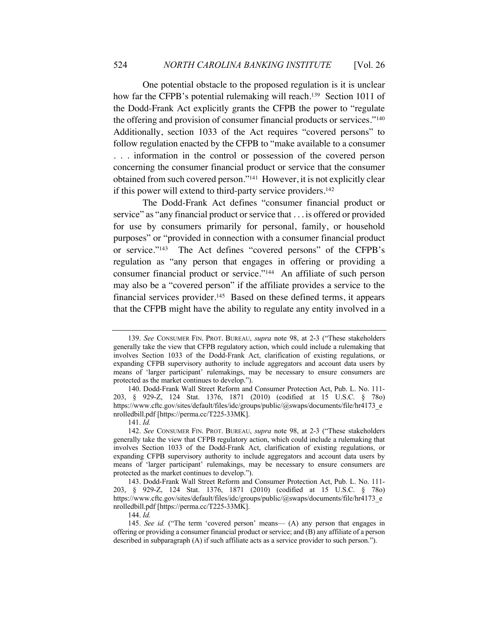One potential obstacle to the proposed regulation is it is unclear how far the CFPB's potential rulemaking will reach.<sup>139</sup> Section 1011 of the Dodd-Frank Act explicitly grants the CFPB the power to "regulate the offering and provision of consumer financial products or services."140 Additionally, section 1033 of the Act requires "covered persons" to follow regulation enacted by the CFPB to "make available to a consumer . . . information in the control or possession of the covered person concerning the consumer financial product or service that the consumer obtained from such covered person."141 However, it is not explicitly clear if this power will extend to third-party service providers.<sup>142</sup>

The Dodd-Frank Act defines "consumer financial product or service" as "any financial product or service that . . . is offered or provided for use by consumers primarily for personal, family, or household purposes" or "provided in connection with a consumer financial product or service."143 The Act defines "covered persons" of the CFPB's regulation as "any person that engages in offering or providing a consumer financial product or service."144 An affiliate of such person may also be a "covered person" if the affiliate provides a service to the financial services provider.145 Based on these defined terms, it appears that the CFPB might have the ability to regulate any entity involved in a

<sup>139.</sup> *See* CONSUMER FIN. PROT. BUREAU, *supra* note 98, at 2-3 ("These stakeholders generally take the view that CFPB regulatory action, which could include a rulemaking that involves Section 1033 of the Dodd-Frank Act, clarification of existing regulations, or expanding CFPB supervisory authority to include aggregators and account data users by means of 'larger participant' rulemakings, may be necessary to ensure consumers are protected as the market continues to develop.").

<sup>140.</sup> Dodd-Frank Wall Street Reform and Consumer Protection Act, Pub. L. No. 111- 203, § 929-Z, 124 Stat. 1376, 1871 (2010) (codified at 15 U.S.C. § 78o) https://www.cftc.gov/sites/default/files/idc/groups/public/@swaps/documents/file/hr4173\_e nrolledbill.pdf [https://perma.cc/T225-33MK].

<sup>141.</sup> *Id.* 

<sup>142.</sup> *See* CONSUMER FIN. PROT. BUREAU, *supra* note 98, at 2-3 ("These stakeholders generally take the view that CFPB regulatory action, which could include a rulemaking that involves Section 1033 of the Dodd-Frank Act, clarification of existing regulations, or expanding CFPB supervisory authority to include aggregators and account data users by means of 'larger participant' rulemakings, may be necessary to ensure consumers are protected as the market continues to develop.").

<sup>143.</sup> Dodd-Frank Wall Street Reform and Consumer Protection Act, Pub. L. No. 111- 203, § 929-Z, 124 Stat. 1376, 1871 (2010) (codified at 15 U.S.C. § 78o) https://www.cftc.gov/sites/default/files/idc/groups/public/@swaps/documents/file/hr4173\_e nrolledbill.pdf [https://perma.cc/T225-33MK].

<sup>144.</sup> *Id.* 

<sup>145.</sup> *See id.* ("The term 'covered person' means— (A) any person that engages in offering or providing a consumer financial product or service; and (B) any affiliate of a person described in subparagraph (A) if such affiliate acts as a service provider to such person.").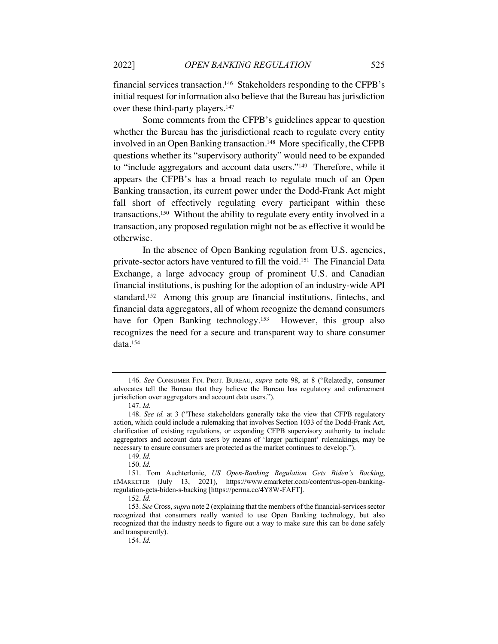financial services transaction.146 Stakeholders responding to the CFPB's initial request for information also believe that the Bureau has jurisdiction over these third-party players.<sup>147</sup>

Some comments from the CFPB's guidelines appear to question whether the Bureau has the jurisdictional reach to regulate every entity involved in an Open Banking transaction.<sup>148</sup> More specifically, the CFPB questions whether its "supervisory authority" would need to be expanded to "include aggregators and account data users."149 Therefore, while it appears the CFPB's has a broad reach to regulate much of an Open Banking transaction, its current power under the Dodd-Frank Act might fall short of effectively regulating every participant within these transactions.150 Without the ability to regulate every entity involved in a transaction, any proposed regulation might not be as effective it would be otherwise.

In the absence of Open Banking regulation from U.S. agencies, private-sector actors have ventured to fill the void.151 The Financial Data Exchange, a large advocacy group of prominent U.S. and Canadian financial institutions, is pushing for the adoption of an industry-wide API standard.152 Among this group are financial institutions, fintechs, and financial data aggregators, all of whom recognize the demand consumers have for Open Banking technology.<sup>153</sup> However, this group also recognizes the need for a secure and transparent way to share consumer data.154

<sup>146.</sup> *See* CONSUMER FIN. PROT. BUREAU, *supra* note 98, at 8 ("Relatedly, consumer advocates tell the Bureau that they believe the Bureau has regulatory and enforcement jurisdiction over aggregators and account data users.").

<sup>147.</sup> *Id.* 

<sup>148.</sup> *See id.* at 3 ("These stakeholders generally take the view that CFPB regulatory action, which could include a rulemaking that involves Section 1033 of the Dodd-Frank Act, clarification of existing regulations, or expanding CFPB supervisory authority to include aggregators and account data users by means of 'larger participant' rulemakings, may be necessary to ensure consumers are protected as the market continues to develop.").

<sup>149.</sup> *Id.*

<sup>150.</sup> *Id.* 

<sup>151.</sup> Tom Auchterlonie, *US Open-Banking Regulation Gets Biden's Backing*, EMARKETER (July 13, 2021), https://www.emarketer.com/content/us-open-bankingregulation-gets-biden-s-backing [https://perma.cc/4Y8W-FAFT].

<sup>152.</sup> *Id.* 

<sup>153.</sup> *See* Cross, *supra* note 2 (explaining that the members of the financial-services sector recognized that consumers really wanted to use Open Banking technology, but also recognized that the industry needs to figure out a way to make sure this can be done safely and transparently).

<sup>154.</sup> *Id.*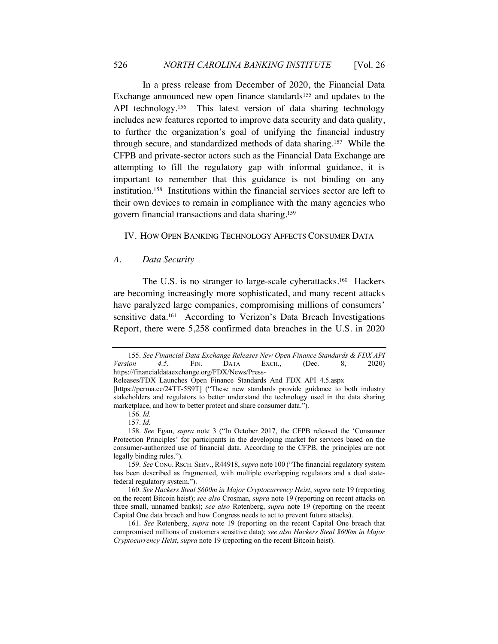In a press release from December of 2020, the Financial Data Exchange announced new open finance standards<sup>155</sup> and updates to the API technology.<sup>156</sup> This latest version of data sharing technology includes new features reported to improve data security and data quality, to further the organization's goal of unifying the financial industry through secure, and standardized methods of data sharing.157 While the CFPB and private-sector actors such as the Financial Data Exchange are attempting to fill the regulatory gap with informal guidance, it is important to remember that this guidance is not binding on any institution.158 Institutions within the financial services sector are left to their own devices to remain in compliance with the many agencies who govern financial transactions and data sharing.159

#### IV. HOW OPEN BANKING TECHNOLOGY AFFECTS CONSUMER DATA

#### *A. Data Security*

The U.S. is no stranger to large-scale cyberattacks.<sup>160</sup> Hackers are becoming increasingly more sophisticated, and many recent attacks have paralyzed large companies, compromising millions of consumers' sensitive data.<sup>161</sup> According to Verizon's Data Breach Investigations Report, there were 5,258 confirmed data breaches in the U.S. in 2020

<sup>155.</sup> *See Financial Data Exchange Releases New Open Finance Standards & FDX API Version 4.5*, FIN. DATA EXCH., (Dec. 8, 2020) https://financialdataexchange.org/FDX/News/Press-

Releases/FDX\_Launches\_Open\_Finance\_Standards\_And\_FDX\_API\_4.5.aspx

<sup>[</sup>https://perma.cc/24TT-5S9T] ("These new standards provide guidance to both industry stakeholders and regulators to better understand the technology used in the data sharing marketplace, and how to better protect and share consumer data.").

<sup>156.</sup> *Id.* 

<sup>157.</sup> *Id.* 

<sup>158.</sup> *See* Egan, *supra* note 3 ("In October 2017, the CFPB released the 'Consumer Protection Principles' for participants in the developing market for services based on the consumer-authorized use of financial data. According to the CFPB, the principles are not legally binding rules.").

<sup>159.</sup> *See* CONG. RSCH. SERV., R44918, *supra* note 100 ("The financial regulatory system has been described as fragmented, with multiple overlapping regulators and a dual statefederal regulatory system.").

<sup>160.</sup> *See Hackers Steal \$600m in Major Cryptocurrency Heist*, *supra* note 19 (reporting on the recent Bitcoin heist); *see also* Crosman, *supra* note 19 (reporting on recent attacks on three small, unnamed banks); *see also* Rotenberg, *supra* note 19 (reporting on the recent Capital One data breach and how Congress needs to act to prevent future attacks).

<sup>161.</sup> *See* Rotenberg, *supra* note 19 (reporting on the recent Capital One breach that compromised millions of customers sensitive data); *see also Hackers Steal \$600m in Major Cryptocurrency Heist*, *supra* note 19 (reporting on the recent Bitcoin heist).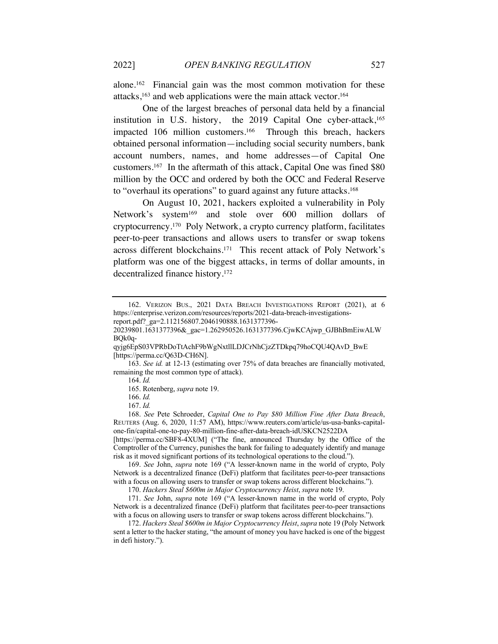alone.162 Financial gain was the most common motivation for these attacks,163 and web applications were the main attack vector.164

One of the largest breaches of personal data held by a financial institution in U.S. history, the 2019 Capital One cyber-attack,<sup>165</sup> impacted 106 million customers.<sup>166</sup> Through this breach, hackers obtained personal information—including social security numbers, bank account numbers, names, and home addresses—of Capital One customers.167 In the aftermath of this attack, Capital One was fined \$80 million by the OCC and ordered by both the OCC and Federal Reserve to "overhaul its operations" to guard against any future attacks.168

On August 10, 2021, hackers exploited a vulnerability in Poly Network's system<sup>169</sup> and stole over 600 million dollars of cryptocurrency.170 Poly Network, a crypto currency platform, facilitates peer-to-peer transactions and allows users to transfer or swap tokens across different blockchains.171 This recent attack of Poly Network's platform was one of the biggest attacks, in terms of dollar amounts, in decentralized finance history.172

168. *See* Pete Schroeder, *Capital One to Pay \$80 Million Fine After Data Breach*, REUTERS (Aug. 6, 2020, 11:57 AM), https://www.reuters.com/article/us-usa-banks-capitalone-fin/capital-one-to-pay-80-million-fine-after-data-breach-idUSKCN2522DA

[https://perma.cc/SBF8-4XUM] ("The fine, announced Thursday by the Office of the Comptroller of the Currency, punishes the bank for failing to adequately identify and manage risk as it moved significant portions of its technological operations to the cloud.").

169. *See* John, *supra* note 169 ("A lesser-known name in the world of crypto, Poly Network is a decentralized finance (DeFi) platform that facilitates peer-to-peer transactions with a focus on allowing users to transfer or swap tokens across different blockchains.").

170. *Hackers Steal \$600m in Major Cryptocurrency Heist*, *supra* note 19.

171. *See* John, *supra* note 169 ("A lesser-known name in the world of crypto, Poly Network is a decentralized finance (DeFi) platform that facilitates peer-to-peer transactions with a focus on allowing users to transfer or swap tokens across different blockchains.").

172. *Hackers Steal \$600m in Major Cryptocurrency Heist*, *supra* note 19 (Poly Network sent a letter to the hacker stating, "the amount of money you have hacked is one of the biggest in defi history.").

<sup>162.</sup> VERIZON BUS., 2021 DATA BREACH INVESTIGATIONS REPORT (2021), at 6 https://enterprise.verizon.com/resources/reports/2021-data-breach-investigations-

report.pdf?\_ga=2.112156807.2046190888.1631377396-

<sup>20239801.1631377396&</sup>amp;\_gac=1.262950526.1631377396.CjwKCAjwp\_GJBhBmEiwALW BQk0q-

qyjg6EpS03VPRbDoTtAchF9bWgNxtllLDJCrNhCjzZTDkpq79hoCQU4QAvD\_BwE [https://perma.cc/Q63D-CH6N].

<sup>163.</sup> *See id.* at 12-13 (estimating over 75% of data breaches are financially motivated, remaining the most common type of attack). 164. *Id.*

<sup>165.</sup> Rotenberg, *supra* note 19.

<sup>166.</sup> *Id.*

<sup>167.</sup> *Id.*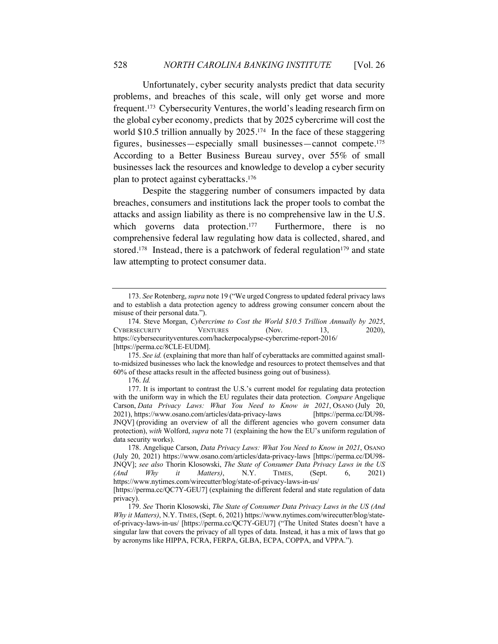Unfortunately, cyber security analysts predict that data security problems, and breaches of this scale, will only get worse and more frequent.173 Cybersecurity Ventures, the world's leading research firm on the global cyber economy, predicts that by 2025 cybercrime will cost the world \$10.5 trillion annually by 2025.174 In the face of these staggering figures, businesses—especially small businesses—cannot compete. 175 According to a Better Business Bureau survey, over 55% of small businesses lack the resources and knowledge to develop a cyber security plan to protect against cyberattacks.176

Despite the staggering number of consumers impacted by data breaches, consumers and institutions lack the proper tools to combat the attacks and assign liability as there is no comprehensive law in the U.S. which governs data protection.<sup>177</sup> Furthermore, there is no comprehensive federal law regulating how data is collected, shared, and stored.<sup>178</sup> Instead, there is a patchwork of federal regulation<sup>179</sup> and state law attempting to protect consumer data.

<sup>173.</sup> *See* Rotenberg, *supra* note 19 ("We urged Congress to updated federal privacy laws and to establish a data protection agency to address growing consumer concern about the misuse of their personal data.").

<sup>174.</sup> Steve Morgan, *Cybercrime to Cost the World \$10.5 Trillion Annually by 2025*, CYBERSECURITY VENTURES (Nov. 13, 2020), https://cybersecurityventures.com/hackerpocalypse-cybercrime-report-2016/ [https://perma.cc/8CLE-EUDM].

<sup>175.</sup> *See id.* (explaining that more than half of cyberattacks are committed against smallto-midsized businesses who lack the knowledge and resources to protect themselves and that 60% of these attacks result in the affected business going out of business).

<sup>176.</sup> *Id.* 

<sup>177.</sup> It is important to contrast the U.S.'s current model for regulating data protection with the uniform way in which the EU regulates their data protection. *Compare* Angelique Carson, *Data Privacy Laws: What You Need to Know in 2021*, OSANO (July 20, 2021), https://www.osano.com/articles/data-privacy-laws [https://perma.cc/DU98- JNQV] (providing an overview of all the different agencies who govern consumer data protection), *with* Wolford, *supra* note 71 (explaining the how the EU's uniform regulation of data security works).

<sup>178.</sup> Angelique Carson, *Data Privacy Laws: What You Need to Know in 2021*, OSANO (July 20, 2021) https://www.osano.com/articles/data-privacy-laws [https://perma.cc/DU98- JNQV]; *see also* Thorin Klosowski, *The State of Consumer Data Privacy Laws in the US (And Why it Matters)*, N.Y. TIMES, (Sept. 6, 2021) https://www.nytimes.com/wirecutter/blog/state-of-privacy-laws-in-us/

<sup>[</sup>https://perma.cc/QC7Y-GEU7] (explaining the different federal and state regulation of data privacy).

<sup>179.</sup> *See* Thorin Klosowski, *The State of Consumer Data Privacy Laws in the US (And Why it Matters)*, N.Y. TIMES, (Sept. 6, 2021) https://www.nytimes.com/wirecutter/blog/stateof-privacy-laws-in-us/ [https://perma.cc/QC7Y-GEU7] ("The United States doesn't have a singular law that covers the privacy of all types of data. Instead, it has a mix of laws that go by acronyms like HIPPA, FCRA, FERPA, GLBA, ECPA, COPPA, and VPPA.").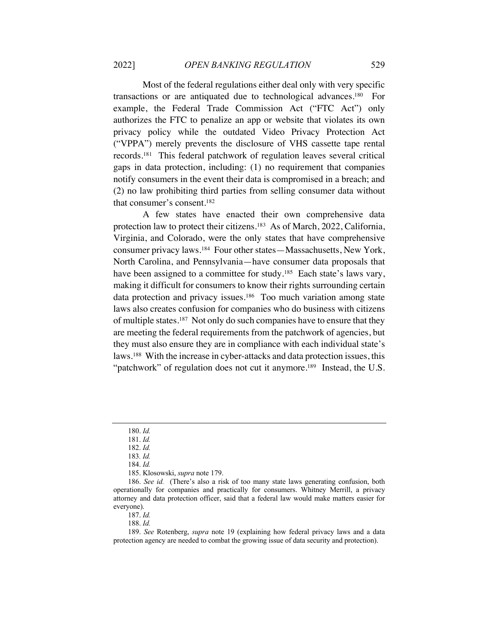Most of the federal regulations either deal only with very specific transactions or are antiquated due to technological advances.180 For example, the Federal Trade Commission Act ("FTC Act") only authorizes the FTC to penalize an app or website that violates its own privacy policy while the outdated Video Privacy Protection Act ("VPPA") merely prevents the disclosure of VHS cassette tape rental records.181 This federal patchwork of regulation leaves several critical gaps in data protection, including: (1) no requirement that companies notify consumers in the event their data is compromised in a breach; and (2) no law prohibiting third parties from selling consumer data without that consumer's consent.182

A few states have enacted their own comprehensive data protection law to protect their citizens.183 As of March, 2022, California, Virginia, and Colorado, were the only states that have comprehensive consumer privacy laws.184 Four other states—Massachusetts, New York, North Carolina, and Pennsylvania—have consumer data proposals that have been assigned to a committee for study.<sup>185</sup> Each state's laws vary, making it difficult for consumers to know their rights surrounding certain data protection and privacy issues.<sup>186</sup> Too much variation among state laws also creates confusion for companies who do business with citizens of multiple states.187 Not only do such companies have to ensure that they are meeting the federal requirements from the patchwork of agencies, but they must also ensure they are in compliance with each individual state's laws.188 With the increase in cyber-attacks and data protection issues, this "patchwork" of regulation does not cut it anymore.<sup>189</sup> Instead, the U.S.

<sup>180.</sup> *Id.* 

<sup>181.</sup> *Id.* 

<sup>182.</sup> *Id.*  183*. Id.* 

<sup>184.</sup> *Id.*

<sup>185.</sup> Klosowski, *supra* note 179.

<sup>186.</sup> *See id.* (There's also a risk of too many state laws generating confusion, both operationally for companies and practically for consumers. Whitney Merrill, a privacy attorney and data protection officer, said that a federal law would make matters easier for everyone).

<sup>187.</sup> *Id.* 

<sup>188.</sup> *Id.* 

<sup>189.</sup> *See* Rotenberg, *supra* note 19 (explaining how federal privacy laws and a data protection agency are needed to combat the growing issue of data security and protection).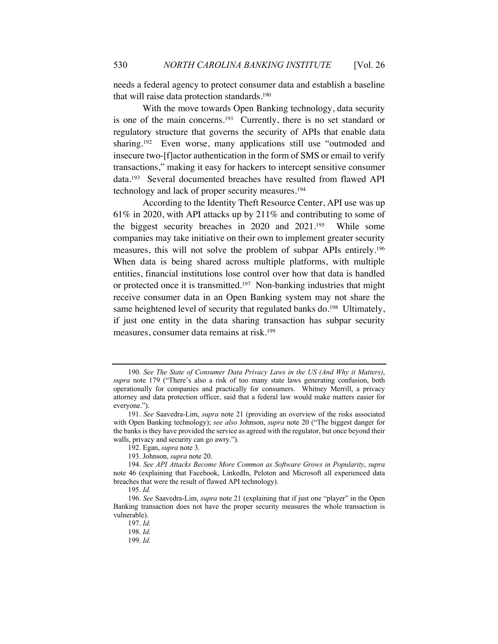needs a federal agency to protect consumer data and establish a baseline that will raise data protection standards.190

With the move towards Open Banking technology, data security is one of the main concerns.191 Currently, there is no set standard or regulatory structure that governs the security of APIs that enable data sharing.<sup>192</sup> Even worse, many applications still use "outmoded and insecure two-[f]actor authentication in the form of SMS or email to verify transactions," making it easy for hackers to intercept sensitive consumer data.193 Several documented breaches have resulted from flawed API technology and lack of proper security measures.194

According to the Identity Theft Resource Center, API use was up 61% in 2020, with API attacks up by 211% and contributing to some of the biggest security breaches in 2020 and 2021.195 While some companies may take initiative on their own to implement greater security measures, this will not solve the problem of subpar APIs entirely.196 When data is being shared across multiple platforms, with multiple entities, financial institutions lose control over how that data is handled or protected once it is transmitted.197 Non-banking industries that might receive consumer data in an Open Banking system may not share the same heightened level of security that regulated banks do.<sup>198</sup> Ultimately, if just one entity in the data sharing transaction has subpar security measures, consumer data remains at risk.199

<sup>190.</sup> *See The State of Consumer Data Privacy Laws in the US (And Why it Matters)*, *supra* note 179 ("There's also a risk of too many state laws generating confusion, both operationally for companies and practically for consumers. Whitney Merrill, a privacy attorney and data protection officer, said that a federal law would make matters easier for everyone.").

<sup>191.</sup> *See* Saavedra-Lim, *supra* note 21 (providing an overview of the risks associated with Open Banking technology); *see also* Johnson, *supra* note 20 ("The biggest danger for the banks is they have provided the service as agreed with the regulator, but once beyond their walls, privacy and security can go awry.").

<sup>192.</sup> Egan, *supra* note 3.

<sup>193.</sup> Johnson, *supra* note 20.

<sup>194.</sup> *See API Attacks Become More Common as Software Grows in Popularity*, *supra* note 46 (explaining that Facebook, LinkedIn, Peloton and Microsoft all experienced data breaches that were the result of flawed API technology).

<sup>195.</sup> *Id.*

<sup>196.</sup> *See* Saavedra-Lim, *supra* note 21 (explaining that if just one "player" in the Open Banking transaction does not have the proper security measures the whole transaction is vulnerable).

<sup>197.</sup> *Id.*

<sup>198.</sup> *Id.*

<sup>199.</sup> *Id.*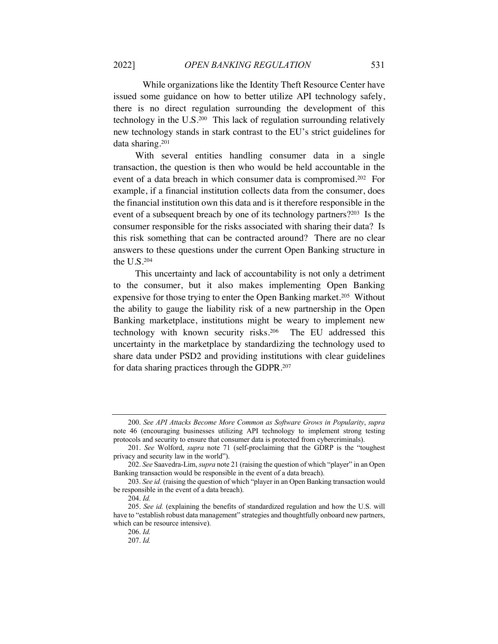While organizations like the Identity Theft Resource Center have issued some guidance on how to better utilize API technology safely, there is no direct regulation surrounding the development of this technology in the U.S.200 This lack of regulation surrounding relatively new technology stands in stark contrast to the EU's strict guidelines for data sharing.201

With several entities handling consumer data in a single transaction, the question is then who would be held accountable in the event of a data breach in which consumer data is compromised.202 For example, if a financial institution collects data from the consumer, does the financial institution own this data and is it therefore responsible in the event of a subsequent breach by one of its technology partners?203 Is the consumer responsible for the risks associated with sharing their data? Is this risk something that can be contracted around? There are no clear answers to these questions under the current Open Banking structure in the U.S.204

This uncertainty and lack of accountability is not only a detriment to the consumer, but it also makes implementing Open Banking expensive for those trying to enter the Open Banking market.<sup>205</sup> Without the ability to gauge the liability risk of a new partnership in the Open Banking marketplace, institutions might be weary to implement new technology with known security risks.206 The EU addressed this uncertainty in the marketplace by standardizing the technology used to share data under PSD2 and providing institutions with clear guidelines for data sharing practices through the GDPR.207

<sup>200.</sup> *See API Attacks Become More Common as Software Grows in Popularity*, *supra* note 46 (encouraging businesses utilizing API technology to implement strong testing protocols and security to ensure that consumer data is protected from cybercriminals).

<sup>201.</sup> *See* Wolford, *supra* note 71 (self-proclaiming that the GDRP is the "toughest privacy and security law in the world").

<sup>202.</sup> *See* Saavedra-Lim, *supra* note 21 (raising the question of which "player" in an Open Banking transaction would be responsible in the event of a data breach).

<sup>203.</sup> *See id.* (raising the question of which "player in an Open Banking transaction would be responsible in the event of a data breach).

<sup>204.</sup> *Id.*

<sup>205.</sup> *See id.* (explaining the benefits of standardized regulation and how the U.S. will have to "establish robust data management" strategies and thoughtfully onboard new partners, which can be resource intensive).

<sup>206.</sup> *Id.*

<sup>207.</sup> *Id.*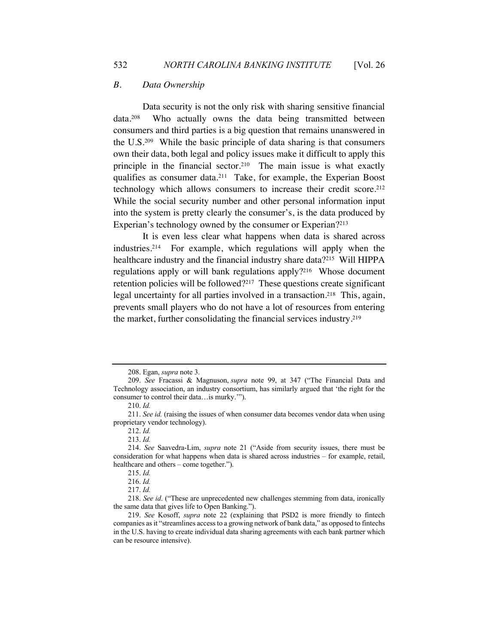# *B. Data Ownership*

Data security is not the only risk with sharing sensitive financial data.208 Who actually owns the data being transmitted between consumers and third parties is a big question that remains unanswered in the U.S.209 While the basic principle of data sharing is that consumers own their data, both legal and policy issues make it difficult to apply this principle in the financial sector.210 The main issue is what exactly qualifies as consumer data.211 Take, for example, the Experian Boost technology which allows consumers to increase their credit score.<sup>212</sup> While the social security number and other personal information input into the system is pretty clearly the consumer's, is the data produced by Experian's technology owned by the consumer or Experian?213

It is even less clear what happens when data is shared across industries.214 For example, which regulations will apply when the healthcare industry and the financial industry share data?<sup>215</sup> Will HIPPA regulations apply or will bank regulations apply?216 Whose document retention policies will be followed?217 These questions create significant legal uncertainty for all parties involved in a transaction.<sup>218</sup> This, again, prevents small players who do not have a lot of resources from entering the market, further consolidating the financial services industry.219

<sup>208.</sup> Egan, *supra* note 3.

<sup>209.</sup> *See* Fracassi & Magnuson, *supra* note 99, at 347 ("The Financial Data and Technology association, an industry consortium, has similarly argued that 'the right for the consumer to control their data…is murky.'").

<sup>210.</sup> *Id.*

<sup>211.</sup> *See id.* (raising the issues of when consumer data becomes vendor data when using proprietary vendor technology).

<sup>212.</sup> *Id.*

<sup>213.</sup> *Id.*

<sup>214.</sup> *See* Saavedra-Lim, *supra* note 21 ("Aside from security issues, there must be consideration for what happens when data is shared across industries – for example, retail, healthcare and others – come together.").

<sup>215.</sup> *Id.* 

<sup>216.</sup> *Id.*

<sup>217.</sup> *Id.*

<sup>218.</sup> *See id*. ("These are unprecedented new challenges stemming from data, ironically the same data that gives life to Open Banking.").

<sup>219.</sup> *See* Kosoff, *supra* note 22 (explaining that PSD2 is more friendly to fintech companies as it "streamlines access to a growing network of bank data," as opposed to fintechs in the U.S. having to create individual data sharing agreements with each bank partner which can be resource intensive).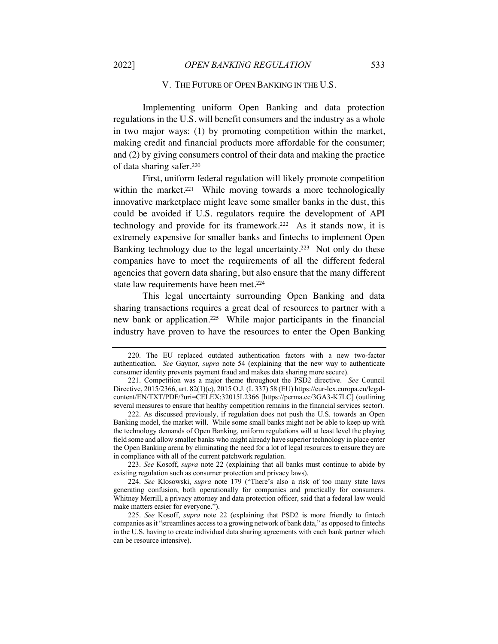### V. THE FUTURE OF OPEN BANKING IN THE U.S.

Implementing uniform Open Banking and data protection regulations in the U.S. will benefit consumers and the industry as a whole in two major ways: (1) by promoting competition within the market, making credit and financial products more affordable for the consumer; and (2) by giving consumers control of their data and making the practice of data sharing safer.220

First, uniform federal regulation will likely promote competition within the market.<sup>221</sup> While moving towards a more technologically innovative marketplace might leave some smaller banks in the dust, this could be avoided if U.S. regulators require the development of API technology and provide for its framework.222 As it stands now, it is extremely expensive for smaller banks and fintechs to implement Open Banking technology due to the legal uncertainty.<sup>223</sup> Not only do these companies have to meet the requirements of all the different federal agencies that govern data sharing, but also ensure that the many different state law requirements have been met.<sup>224</sup>

This legal uncertainty surrounding Open Banking and data sharing transactions requires a great deal of resources to partner with a new bank or application.225 While major participants in the financial industry have proven to have the resources to enter the Open Banking

223. *See* Kosoff, *supra* note 22 (explaining that all banks must continue to abide by existing regulation such as consumer protection and privacy laws).

224. *See* Klosowski, *supra* note 179 ("There's also a risk of too many state laws generating confusion, both operationally for companies and practically for consumers. Whitney Merrill, a privacy attorney and data protection officer, said that a federal law would make matters easier for everyone.").

<sup>220.</sup> The EU replaced outdated authentication factors with a new two-factor authentication. *See* Gaynor, *supra* note 54 (explaining that the new way to authenticate consumer identity prevents payment fraud and makes data sharing more secure).

<sup>221.</sup> Competition was a major theme throughout the PSD2 directive. *See* Council Directive, 2015/2366, art. 82(1)(c), 2015 O.J. (L 337) 58 (EU) https://eur-lex.europa.eu/legalcontent/EN/TXT/PDF/?uri=CELEX:32015L2366 [https://perma.cc/3GA3-K7LC] (outlining several measures to ensure that healthy competition remains in the financial services sector).

<sup>222.</sup> As discussed previously, if regulation does not push the U.S. towards an Open Banking model, the market will. While some small banks might not be able to keep up with the technology demands of Open Banking, uniform regulations will at least level the playing field some and allow smaller banks who might already have superior technology in place enter the Open Banking arena by eliminating the need for a lot of legal resources to ensure they are in compliance with all of the current patchwork regulation.

<sup>225.</sup> *See* Kosoff, *supra* note 22 (explaining that PSD2 is more friendly to fintech companies as it "streamlines access to a growing network of bank data," as opposed to fintechs in the U.S. having to create individual data sharing agreements with each bank partner which can be resource intensive).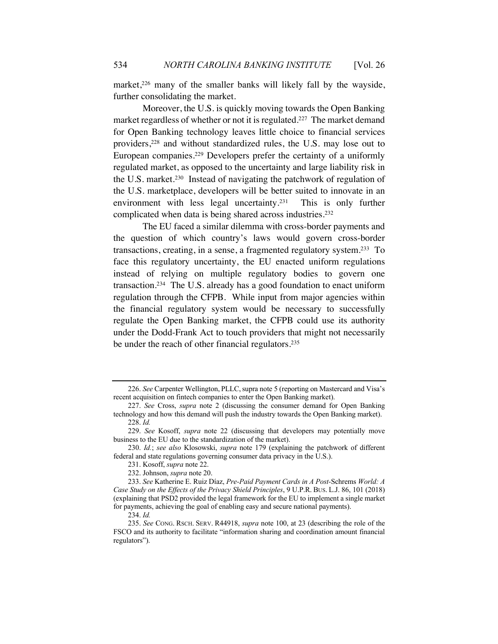market,<sup>226</sup> many of the smaller banks will likely fall by the wayside, further consolidating the market.

Moreover, the U.S. is quickly moving towards the Open Banking market regardless of whether or not it is regulated.<sup>227</sup> The market demand for Open Banking technology leaves little choice to financial services providers,228 and without standardized rules, the U.S. may lose out to European companies.229 Developers prefer the certainty of a uniformly regulated market, as opposed to the uncertainty and large liability risk in the U.S. market.230 Instead of navigating the patchwork of regulation of the U.S. marketplace, developers will be better suited to innovate in an environment with less legal uncertainty.<sup>231</sup> This is only further complicated when data is being shared across industries.232

The EU faced a similar dilemma with cross-border payments and the question of which country's laws would govern cross-border transactions, creating, in a sense, a fragmented regulatory system. 233 To face this regulatory uncertainty, the EU enacted uniform regulations instead of relying on multiple regulatory bodies to govern one transaction.234 The U.S. already has a good foundation to enact uniform regulation through the CFPB. While input from major agencies within the financial regulatory system would be necessary to successfully regulate the Open Banking market, the CFPB could use its authority under the Dodd-Frank Act to touch providers that might not necessarily be under the reach of other financial regulators.<sup>235</sup>

<sup>226.</sup> See Carpenter Wellington, PLLC, supra note 5 (reporting on Mastercard and Visa's recent acquisition on fintech companies to enter the Open Banking market).

<sup>227.</sup> *See* Cross, *supra* note 2 (discussing the consumer demand for Open Banking technology and how this demand will push the industry towards the Open Banking market). 228. *Id.*

<sup>229.</sup> *See* Kosoff, *supra* note 22 (discussing that developers may potentially move business to the EU due to the standardization of the market).

<sup>230.</sup> *Id.*; *see also* Klosowski, *supra* note 179 (explaining the patchwork of different federal and state regulations governing consumer data privacy in the U.S.).

<sup>231.</sup> Kosoff, *supra* note 22.

<sup>232.</sup> Johnson, *supra* note 20.

<sup>233.</sup> *See* Katherine E. Ruiz Díaz, *Pre-Paid Payment Cards in A Post-*Schrems *World: A Case Study on the Effects of the Privacy Shield Principles*, 9 U.P.R. BUS. L.J. 86, 101 (2018) (explaining that PSD2 provided the legal framework for the EU to implement a single market for payments, achieving the goal of enabling easy and secure national payments).

<sup>234.</sup> *Id.* 

<sup>235.</sup> *See* CONG. RSCH. SERV. R44918, *supra* note 100, at 23 (describing the role of the FSCO and its authority to facilitate "information sharing and coordination amount financial regulators").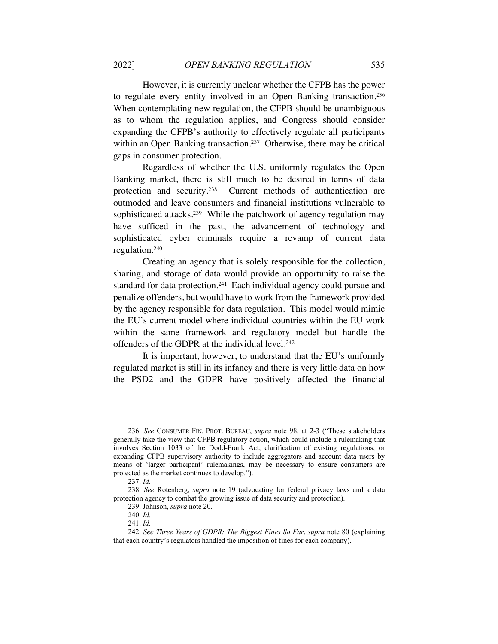However, it is currently unclear whether the CFPB has the power to regulate every entity involved in an Open Banking transaction.236 When contemplating new regulation, the CFPB should be unambiguous as to whom the regulation applies, and Congress should consider expanding the CFPB's authority to effectively regulate all participants within an Open Banking transaction.<sup>237</sup> Otherwise, there may be critical gaps in consumer protection.

Regardless of whether the U.S. uniformly regulates the Open Banking market, there is still much to be desired in terms of data protection and security.238 Current methods of authentication are outmoded and leave consumers and financial institutions vulnerable to sophisticated attacks.<sup>239</sup> While the patchwork of agency regulation may have sufficed in the past, the advancement of technology and sophisticated cyber criminals require a revamp of current data regulation.240

Creating an agency that is solely responsible for the collection, sharing, and storage of data would provide an opportunity to raise the standard for data protection.<sup>241</sup> Each individual agency could pursue and penalize offenders, but would have to work from the framework provided by the agency responsible for data regulation. This model would mimic the EU's current model where individual countries within the EU work within the same framework and regulatory model but handle the offenders of the GDPR at the individual level.<sup>242</sup>

It is important, however, to understand that the EU's uniformly regulated market is still in its infancy and there is very little data on how the PSD2 and the GDPR have positively affected the financial

<sup>236.</sup> *See* CONSUMER FIN. PROT. BUREAU, *supra* note 98, at 2-3 ("These stakeholders generally take the view that CFPB regulatory action, which could include a rulemaking that involves Section 1033 of the Dodd-Frank Act, clarification of existing regulations, or expanding CFPB supervisory authority to include aggregators and account data users by means of 'larger participant' rulemakings, may be necessary to ensure consumers are protected as the market continues to develop.").

<sup>237.</sup> *Id.*

<sup>238.</sup> *See* Rotenberg, *supra* note 19 (advocating for federal privacy laws and a data protection agency to combat the growing issue of data security and protection).

<sup>239.</sup> Johnson, *supra* note 20.

<sup>240.</sup> *Id.*

<sup>241.</sup> *Id.*

<sup>242.</sup> *See Three Years of GDPR: The Biggest Fines So Far*, *supra* note 80 (explaining that each country's regulators handled the imposition of fines for each company).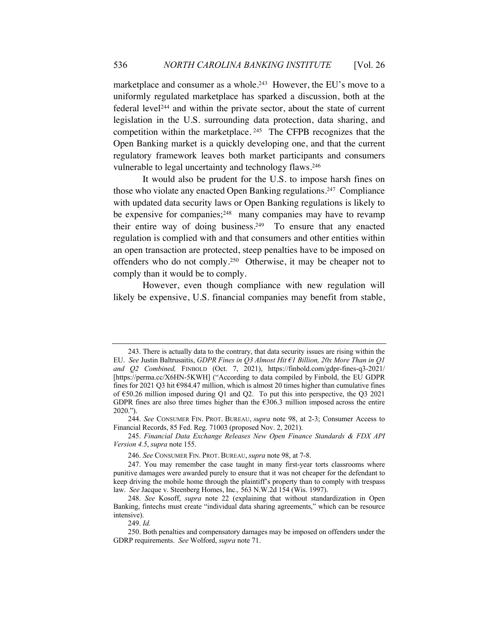marketplace and consumer as a whole.<sup>243</sup> However, the EU's move to a uniformly regulated marketplace has sparked a discussion, both at the federal level244 and within the private sector, about the state of current legislation in the U.S. surrounding data protection, data sharing, and competition within the marketplace. 245 The CFPB recognizes that the Open Banking market is a quickly developing one, and that the current regulatory framework leaves both market participants and consumers vulnerable to legal uncertainty and technology flaws.246

It would also be prudent for the U.S. to impose harsh fines on those who violate any enacted Open Banking regulations.247 Compliance with updated data security laws or Open Banking regulations is likely to be expensive for companies;<sup>248</sup> many companies may have to revamp their entire way of doing business.249 To ensure that any enacted regulation is complied with and that consumers and other entities within an open transaction are protected, steep penalties have to be imposed on offenders who do not comply.250 Otherwise, it may be cheaper not to comply than it would be to comply.

However, even though compliance with new regulation will likely be expensive, U.S. financial companies may benefit from stable,

<sup>243.</sup> There is actually data to the contrary, that data security issues are rising within the EU. *See* Justin Baltrusaitis, *GDPR Fines in Q3 Almost Hit €1 Billion, 20x More Than in Q1*  and Q2 Combined, FINBOLD (Oct. 7, 2021), https://finbold.com/gdpr-fines-q3-2021/ [https://perma.cc/X6HN-5KWH] ("According to data compiled by Finbold, the EU GDPR fines for 2021 Q3 hit €984.47 million, which is almost 20 times higher than cumulative fines of €50.26 million imposed during Q1 and Q2. To put this into perspective, the Q3 2021 GDPR fines are also three times higher than the  $€306.3$  million imposed across the entire 2020.").

<sup>244.</sup> *See* CONSUMER FIN. PROT. BUREAU, *supra* note 98, at 2-3; Consumer Access to Financial Records, 85 Fed. Reg. 71003 (proposed Nov. 2, 2021).

<sup>245.</sup> *Financial Data Exchange Releases New Open Finance Standards & FDX API Version 4.5*, *supra* note 155.

<sup>246.</sup> *See* CONSUMER FIN. PROT. BUREAU,*supra* note 98, at 7-8.

<sup>247.</sup> You may remember the case taught in many first-year torts classrooms where punitive damages were awarded purely to ensure that it was not cheaper for the defendant to keep driving the mobile home through the plaintiff's property than to comply with trespass law. *See* Jacque v. Steenberg Homes, Inc.*,* 563 N.W.2d 154 (Wis. 1997).

<sup>248.</sup> *See* Kosoff, *supra* note 22 (explaining that without standardization in Open Banking, fintechs must create "individual data sharing agreements," which can be resource intensive).

<sup>249.</sup> *Id.*

<sup>250.</sup> Both penalties and compensatory damages may be imposed on offenders under the GDRP requirements. *See* Wolford, *supra* note 71.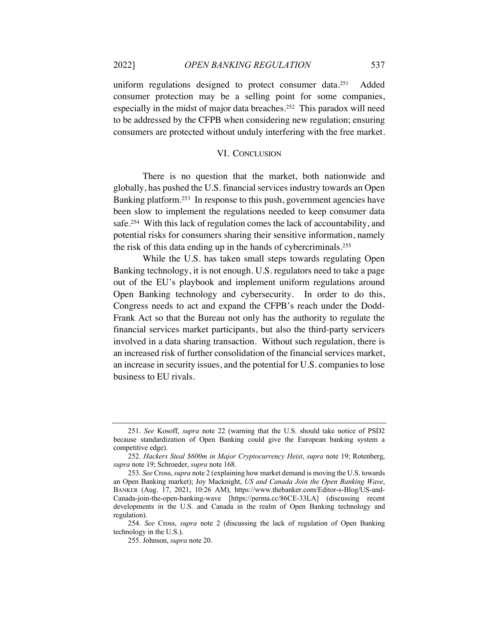uniform regulations designed to protect consumer data.<sup>251</sup> Added consumer protection may be a selling point for some companies, especially in the midst of major data breaches.252 This paradox will need to be addressed by the CFPB when considering new regulation; ensuring consumers are protected without unduly interfering with the free market.

# VI. CONCLUSION

There is no question that the market, both nationwide and globally, has pushed the U.S. financial services industry towards an Open Banking platform.253 In response to this push, government agencies have been slow to implement the regulations needed to keep consumer data safe.254 With this lack of regulation comes the lack of accountability, and potential risks for consumers sharing their sensitive information, namely the risk of this data ending up in the hands of cybercriminals.255

While the U.S. has taken small steps towards regulating Open Banking technology, it is not enough. U.S. regulators need to take a page out of the EU's playbook and implement uniform regulations around Open Banking technology and cybersecurity. In order to do this, Congress needs to act and expand the CFPB's reach under the Dodd-Frank Act so that the Bureau not only has the authority to regulate the financial services market participants, but also the third-party servicers involved in a data sharing transaction. Without such regulation, there is an increased risk of further consolidation of the financial services market, an increase in security issues, and the potential for U.S. companies to lose business to EU rivals.

<sup>251.</sup> *See* Kosoff, *supra* note 22 (warning that the U.S. should take notice of PSD2 because standardization of Open Banking could give the European banking system a competitive edge).

<sup>252.</sup> *Hackers Steal \$600m in Major Cryptocurrency Heist*, *supra* note 19; Rotenberg, *supra* note 19; Schroeder, *supra* note 168.

<sup>253.</sup> *See* Cross, *supra* note 2 (explaining how market demand is moving the U.S. towards an Open Banking market); Joy Macknight, *US and Canada Join the Open Banking Wave*, BANKER (Aug. 17, 2021, 10:26 AM), https://www.thebanker.com/Editor-s-Blog/US-and-Canada-join-the-open-banking-wave [https://perma.cc/86CE-33LA] (discussing recent developments in the U.S. and Canada in the realm of Open Banking technology and regulation).

<sup>254.</sup> *See* Cross, *supra* note 2 (discussing the lack of regulation of Open Banking technology in the U.S.).

<sup>255.</sup> Johnson, *supra* note 20.